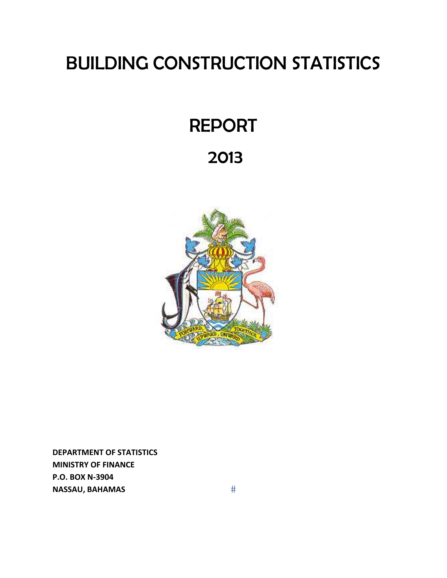# BUILDING CONSTRUCTION STATISTICS

# REPORT

# 2013



**DEPARTMENT OF STATISTICS MINISTRY OF FINANCE P.O. BOX N‐3904 NASSAU, BAHAMAS**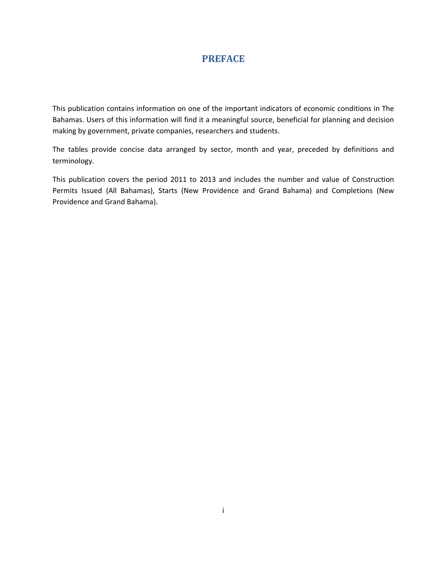# **PREFACE**

This publication contains information on one of the important indicators of economic conditions in The Bahamas. Users of this information will find it a meaningful source, beneficial for planning and decision making by government, private companies, researchers and students.

The tables provide concise data arranged by sector, month and year, preceded by definitions and terminology.

This publication covers the period 2011 to 2013 and includes the number and value of Construction Permits Issued (All Bahamas), Starts (New Providence and Grand Bahama) and Completions (New Providence and Grand Bahama).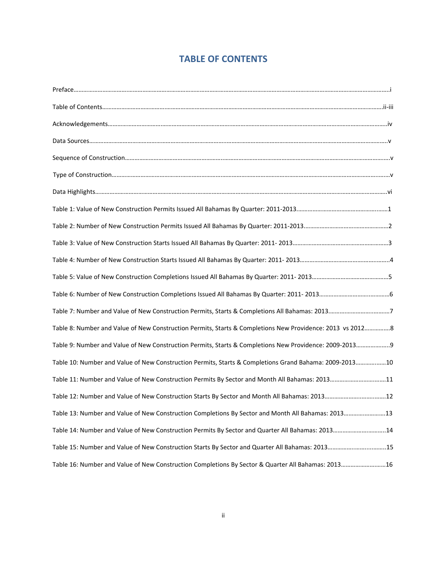# **TABLE OF CONTENTS**

| Table 7: Number and Value of New Construction Permits, Starts & Completions All Bahamas: 20137            |  |
|-----------------------------------------------------------------------------------------------------------|--|
| Table 8: Number and Value of New Construction Permits, Starts & Completions New Providence: 2013 vs 20128 |  |
| Table 9: Number and Value of New Construction Permits, Starts & Completions New Providence: 2009-2013 9   |  |
| Table 10: Number and Value of New Construction Permits, Starts & Completions Grand Bahama: 2009-201310    |  |
| Table 11: Number and Value of New Construction Permits By Sector and Month All Bahamas: 201311            |  |
| Table 12: Number and Value of New Construction Starts By Sector and Month All Bahamas: 201312             |  |
| Table 13: Number and Value of New Construction Completions By Sector and Month All Bahamas: 201313        |  |
| Table 14: Number and Value of New Construction Permits By Sector and Quarter All Bahamas: 201314          |  |
| Table 15: Number and Value of New Construction Starts By Sector and Quarter All Bahamas: 201315           |  |
| Table 16: Number and Value of New Construction Completions By Sector & Quarter All Bahamas: 201316        |  |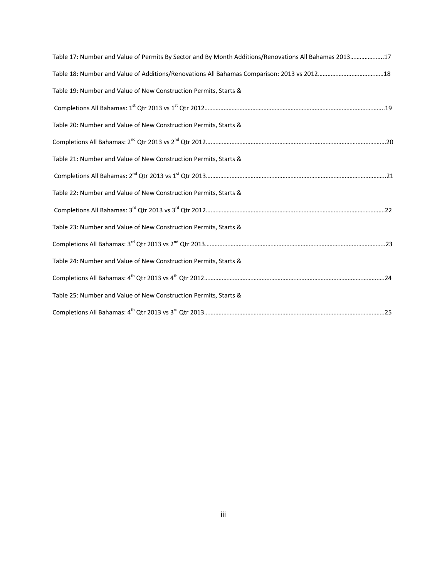| Table 17: Number and Value of Permits By Sector and By Month Additions/Renovations All Bahamas 201317 |  |
|-------------------------------------------------------------------------------------------------------|--|
|                                                                                                       |  |
| Table 19: Number and Value of New Construction Permits, Starts &                                      |  |
|                                                                                                       |  |
| Table 20: Number and Value of New Construction Permits, Starts &                                      |  |
|                                                                                                       |  |
| Table 21: Number and Value of New Construction Permits, Starts &                                      |  |
|                                                                                                       |  |
| Table 22: Number and Value of New Construction Permits, Starts &                                      |  |
|                                                                                                       |  |
| Table 23: Number and Value of New Construction Permits, Starts &                                      |  |
|                                                                                                       |  |
| Table 24: Number and Value of New Construction Permits, Starts &                                      |  |
|                                                                                                       |  |
| Table 25: Number and Value of New Construction Permits, Starts &                                      |  |
|                                                                                                       |  |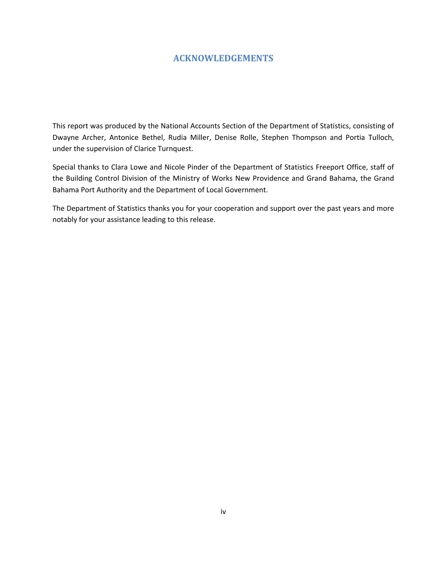#### **ACKNOWLEDGEMENTS**

This report was produced by the National Accounts Section of the Department of Statistics, consisting of Dwayne Archer, Antonice Bethel, Rudia Miller, Denise Rolle, Stephen Thompson and Portia Tulloch, under the supervision of Clarice Turnquest.

Special thanks to Clara Lowe and Nicole Pinder of the Department of Statistics Freeport Office, staff of the Building Control Division of the Ministry of Works New Providence and Grand Bahama, the Grand Bahama Port Authority and the Department of Local Government.

The Department of Statistics thanks you for your cooperation and support over the past years and more notably for your assistance leading to this release.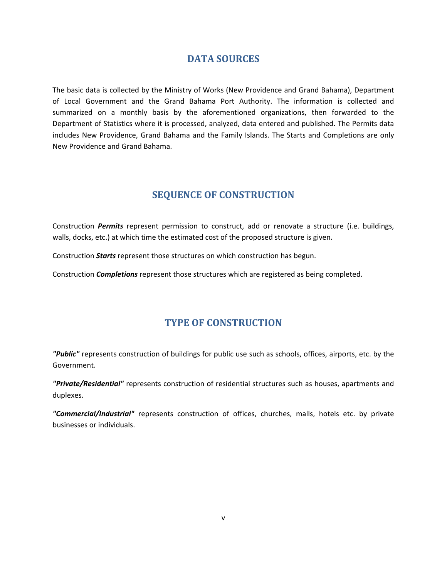# **DATA SOURCES**

The basic data is collected by the Ministry of Works (New Providence and Grand Bahama), Department of Local Government and the Grand Bahama Port Authority. The information is collected and summarized on a monthly basis by the aforementioned organizations, then forwarded to the Department of Statistics where it is processed, analyzed, data entered and published. The Permits data includes New Providence, Grand Bahama and the Family Islands. The Starts and Completions are only New Providence and Grand Bahama.

# **SEQUENCE OF CONSTRUCTION**

Construction *Permits* represent permission to construct, add or renovate a structure (i.e. buildings, walls, docks, etc.) at which time the estimated cost of the proposed structure is given.

Construction *Starts* represent those structures on which construction has begun.

Construction *Completions* represent those structures which are registered as being completed.

# **TYPE OF CONSTRUCTION**

*"Public"* represents construction of buildings for public use such as schools, offices, airports, etc. by the Government.

*"Private/Residential"* represents construction of residential structures such as houses, apartments and duplexes.

*"Commercial/Industrial"* represents construction of offices, churches, malls, hotels etc. by private businesses or individuals.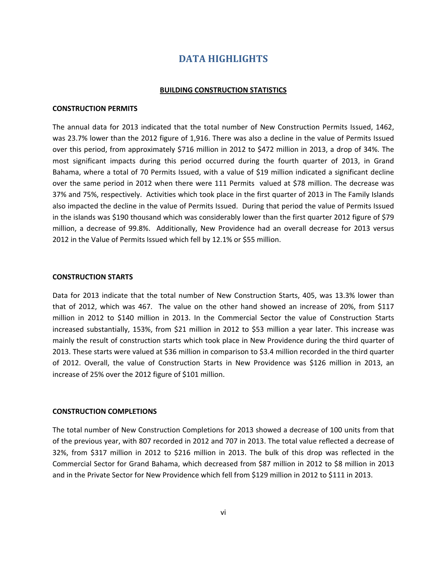### **DATA HIGHLIGHTS**

#### **BUILDING CONSTRUCTION STATISTICS**

#### **CONSTRUCTION PERMITS**

The annual data for 2013 indicated that the total number of New Construction Permits Issued, 1462, was 23.7% lower than the 2012 figure of 1,916. There was also a decline in the value of Permits Issued over this period, from approximately \$716 million in 2012 to \$472 million in 2013, a drop of 34%. The most significant impacts during this period occurred during the fourth quarter of 2013, in Grand Bahama, where a total of 70 Permits Issued, with a value of \$19 million indicated a significant decline over the same period in 2012 when there were 111 Permits valued at \$78 million. The decrease was 37% and 75%, respectively. Activities which took place in the first quarter of 2013 in The Family Islands also impacted the decline in the value of Permits Issued. During that period the value of Permits Issued in the islands was \$190 thousand which was considerably lower than the first quarter 2012 figure of \$79 million, a decrease of 99.8%. Additionally, New Providence had an overall decrease for 2013 versus 2012 in the Value of Permits Issued which fell by 12.1% or \$55 million.

#### **CONSTRUCTION STARTS**

Data for 2013 indicate that the total number of New Construction Starts, 405, was 13.3% lower than that of 2012, which was 467. The value on the other hand showed an increase of 20%, from \$117 million in 2012 to \$140 million in 2013. In the Commercial Sector the value of Construction Starts increased substantially, 153%, from \$21 million in 2012 to \$53 million a year later. This increase was mainly the result of construction starts which took place in New Providence during the third quarter of 2013. These starts were valued at \$36 million in comparison to \$3.4 million recorded in the third quarter of 2012. Overall, the value of Construction Starts in New Providence was \$126 million in 2013, an increase of 25% over the 2012 figure of \$101 million.

#### **CONSTRUCTION COMPLETIONS**

The total number of New Construction Completions for 2013 showed a decrease of 100 units from that of the previous year, with 807 recorded in 2012 and 707 in 2013. The total value reflected a decrease of 32%, from \$317 million in 2012 to \$216 million in 2013. The bulk of this drop was reflected in the Commercial Sector for Grand Bahama, which decreased from \$87 million in 2012 to \$8 million in 2013 and in the Private Sector for New Providence which fell from \$129 million in 2012 to \$111 in 2013.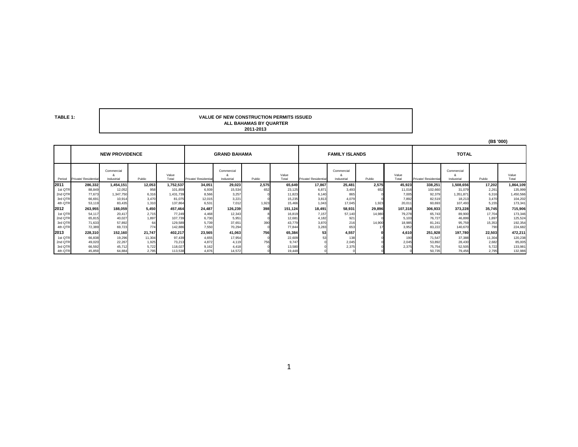**TABLE 1:**

#### **ALL BAHAMAS BY QUARTER2011-2013 VALUE OF NEW CONSTRUCTION PERMITS ISSUED**

|         |                      |                               |        |                |                      |                          |        |                |                      |                          |        |                |                      | (B\$ '000)                     |        |                |
|---------|----------------------|-------------------------------|--------|----------------|----------------------|--------------------------|--------|----------------|----------------------|--------------------------|--------|----------------|----------------------|--------------------------------|--------|----------------|
|         |                      | <b>NEW PROVIDENCE</b>         |        |                | <b>GRAND BAHAMA</b>  |                          |        |                |                      | <b>FAMILY ISLANDS</b>    |        |                | <b>TOTAL</b>         |                                |        |                |
| Period  | Private/ Residential | Commercial<br>×<br>Industrial | Public | Value<br>Total | Private/ Residential | Commercial<br>Industrial | Public | Value<br>Total | Private/ Residential | Commercial<br>Industrial | Public | Value<br>Total | Private/ Residential | Commercial<br>Ő.<br>Industrial | Public | Value<br>Total |
| 2011    | 286,332              | 1,454,151                     | 12,053 | 1,752,537      | 34,051               | 29,023                   | 2,575  | 65,649         | 17,867               | 25,481                   | 2,575  | 45,923         | 338,251              | 1,508,656                      | 17,202 | 864,109        |
| 1st QTR | 88,849               | 12,052                        | 958    | 101,859        | 6,939                | 15,534                   | 652    | 23,125         | 6,871                | 3,493                    | 652    | 11,016         | 102,660              | 31,079                         | 2,261  | 135,999        |
| 2nd QTR | 77,673               | 1,347,750                     | 6,316  | 1,431,739      | 8,566                | 3,257                    |        | 11,823         | 6,140                | 865                      |        | 7,005          | 92,379               | 1,351,871                      | 6,316  | 1,450,566      |
| 3rd QTR | 66,69                | 10.914                        | 3,470  | 81,075         | 12,015               | 3,221                    |        | 15,235         | 3,813                | 4.079                    |        | 7,892          | 82,519               | 18,213                         | 3,470  | 104,202        |
| 4th QTR | 53,119               | 83,435                        | 1,310  | 137,864        | 6,531                | 7.012                    | 1,923  | 15,466         | 1,043                | 17,045                   | 1,923  | 20,011         | 60,693               | 107,493                        | 5.155  | 173,341        |
| 2012    | 263,955              | 188,059                       | 5.450  | 457,464        | 24,487               | 126,239                  | 398    | 151,124        | 18,491               | 58,931                   | 29,896 | 107,318        | 306,933              | 373,228                        | 35,745 | 715,906        |
| 1st QTR | 54,117               | 20,417                        | 2.715  | 77.249         | 4,468                | 12,343                   |        | 16,819         | 7,157                | 57,140                   | 14,980 | 79,278         | 65,743               | 89,900                         | 17,704 | 173,346        |
| 2nd QTR | 65,81                | 40,027                        | 1,897  | 107,739        | 6,730                | 5,951                    |        | 12,681         | 4.182                | 921                      |        | 5.103          | 76,727               | 46,899                         | 1,897  | 125,524        |
| 3rd QTR | 71,633               | 57,892                        | 64     | 129,589        | 5.739                | 37,651                   | 390    | 43,779         | 3,870                | 216                      | 14,900 | 18,985         | 81.241               | 95,759                         | 15,353 | 192,354        |
| 4th QTR | 72,389               | 69,723                        | 774    | 142,886        | 7,550                | 70,294                   |        | 77,844         | 3,283                | 653                      |        | 3,952          | 83,222               | 140,670                        | 790    | 224,682        |
| 2013    | 228,310              | 152,160                       | 21,747 | 402,217        | 23,565               | 41,063                   | 756    | 65,384         | 53                   | 4,557                    |        | 4,610          | 251,928              | 197,780                        | 22,503 | 472,211        |
| 1st QTR | 66,838               | 19,296                        | 11,304 | 97,439         | 4,655                | 17,954                   |        | 22,609         |                      | 138                      |        | 190            | 71,547               | 37,388                         | 11,304 | 120,238        |
| 2nd QTR | 49,020               | 22,267                        | 1,925  | 73,213         | 4.872                | 4.119                    | 756    | 9,747          |                      | 2,045                    |        | 2,045          | 53,892               | 28,430                         | 2,682  | 85,005         |
| 3rd QTR | 66,592               | 45,712                        | 5.722  | 118,027        | 9.162                | 4.418                    |        | 13,580         |                      | 2.375                    |        | 2.375          | 75,754               | 52,505                         | 5,722  | 133,981        |
| 4th QTR | 45,859               | 64,884                        | 2,795  | 113,538        | 4,876                | 14,572                   |        | 19,448         |                      |                          |        |                | 50,735               | 79,456                         | 2,795  | 132,986        |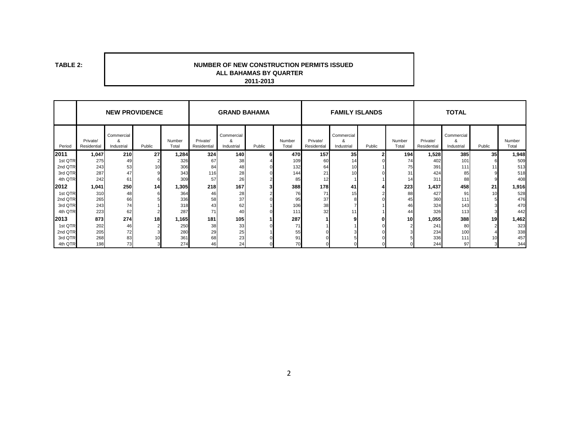**TABLE 2:**

#### **ALL BAHAMAS BY QUARTER 2011-2013 NUMBER OF NEW CONSTRUCTION PERMITS ISSUED**

|         | <b>NEW PROVIDENCE</b>   |                               |        |                 | <b>GRAND BAHAMA</b>     |                               |        |                 | <b>FAMILY ISLANDS</b>   |                               |        |                 | <b>TOTAL</b>            |                               |        |                 |
|---------|-------------------------|-------------------------------|--------|-----------------|-------------------------|-------------------------------|--------|-----------------|-------------------------|-------------------------------|--------|-----------------|-------------------------|-------------------------------|--------|-----------------|
| Period  | Private/<br>Residential | Commercial<br>ጼ<br>Industrial | Public | Number<br>Total | Private/<br>Residential | Commercial<br>&<br>Industrial | Public | Number<br>Total | Private/<br>Residential | Commercial<br>&<br>Industrial | Public | Number<br>Total | Private/<br>Residential | Commercial<br>&<br>Industrial | Public | Number<br>Total |
| 2011    | 1,047                   | 210                           | 27     | 1,284           | 324                     | 140                           | 6      | 470             | 157                     | 35 <sub>1</sub>               |        | 194             | 1,528                   | 385                           | 35     | 1,948           |
| 1st QTR | 275                     | 49                            |        | 326             | 67                      | 38                            |        | 109             | 60                      | 14                            |        | 74              | 402                     | 101                           |        | 509             |
| 2nd QTR | 243                     | 53                            | 10     | 306             | 84                      | 48                            |        | 132             | 64                      | 10                            |        | 75              | 391                     | 111                           |        | 513             |
| 3rd QTR | 287                     | 47                            |        | 343             | 116                     | 28                            |        | 144             | 21                      | 10 <sup>1</sup>               |        | 31              | 424                     | 85                            |        | 518             |
| 4th QTR | 242                     | 61                            |        | 309             | 57                      | 26                            |        | 85              | 12                      |                               |        | 14              | 311                     | 88                            |        | 408             |
| 2012    | 1,041                   | 250                           | 14     | 1,305           | <b>218</b>              | 167                           |        | 388             | 178                     | 41                            |        | 223             | 1,437                   | 458                           | 21     | 1,916           |
| 1st QTR | 310                     | 48                            |        | 364             | 46                      | 28                            |        | 76              | 71                      | 15                            |        | 88              | 427                     | 91                            | 10     | 528             |
| 2nd QTR | 265                     | 66                            |        | 336             | 58                      | 37                            |        | 95              | 37                      |                               |        | 45              | 360                     | 111                           |        | 476             |
| 3rd QTR | 243                     | 74                            |        | 318             | 43                      | 62                            |        | 106             | 38                      |                               |        | 46              | 324                     | 143                           |        | 470             |
| 4th QTR | 223                     | 62                            |        | 287             | 71                      | 40                            |        | 111             | 32                      | 11                            |        | 44              | 326                     | 113                           |        | 442             |
| 2013    | 873                     | 274                           | 18     | 1,165           | 181                     | 105                           |        | 287             |                         |                               |        | 10 <sup>1</sup> | 1,055                   | 388                           | 19     | 1,462           |
| 1st QTR | 202                     | 46                            |        | 250             | 38                      | 33                            |        | 71              |                         |                               |        |                 | 241                     | 80                            |        | 323             |
| 2nd QTR | 205                     | 72                            |        | 280             | 29                      | 25                            |        | 55              |                         |                               |        |                 | 234                     | 100                           |        | 338             |
| 3rd QTR | 268                     | 83                            | 10     | 361             | 68                      | 23                            |        | 91              |                         |                               |        |                 | 336                     | 111                           | 10     | 457             |
| 4th QTR | 198                     | 73                            |        | 274             | 46                      | 24                            |        | 70              |                         |                               |        |                 | 244                     | 97                            |        | 344             |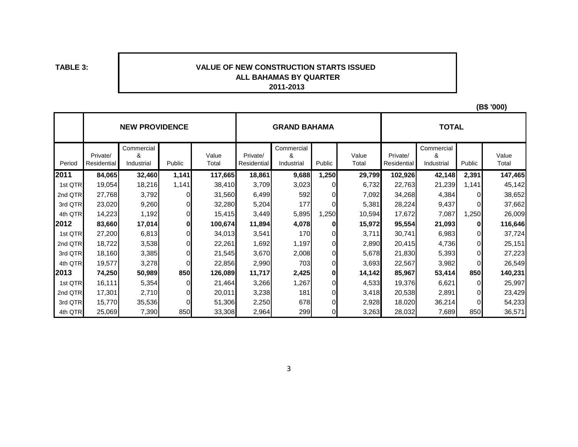**TABLE 3:**

#### **2011-2013 VALUE OF NEW CONSTRUCTION STARTS ISSUED ALL BAHAMAS BY QUARTER**

**(B\$ '000)**

|         |             | <b>NEW PROVIDENCE</b> |              |         |             | <b>GRAND BAHAMA</b> |                | <b>TOTAL</b> |             |                 |          |         |
|---------|-------------|-----------------------|--------------|---------|-------------|---------------------|----------------|--------------|-------------|-----------------|----------|---------|
|         | Private/    | Commercial<br>&       |              | Value   | Private/    | Commercial<br>&     |                | Value        | Private/    | Commercial<br>& |          | Value   |
| Period  | Residential | Industrial            | Public       | Total   | Residential | Industrial          | Public         | Total        | Residential | Industrial      | Public   | Total   |
| 2011    | 84,065      | 32,460                | 1,141        | 117,665 | 18,861      | 9,688               | 1,250          | 29,799       | 102,926     | 42,148          | 2,391    | 147,465 |
| 1st QTR | 19,054      | 18,216                | 1,141        | 38,410  | 3,709       | 3,023               | $\overline{0}$ | 6,732        | 22,763      | 21,239          | 1,141    | 45,142  |
| 2nd QTR | 27,768      | 3,792                 | $\Omega$     | 31,560  | 6,499       | 592                 | $\overline{0}$ | 7,092        | 34,268      | 4,384           |          | 38,652  |
| 3rd QTR | 23,020      | 9,260                 | 0            | 32,280  | 5,204       | 177                 | 0              | 5,381        | 28,224      | 9,437           | $\Omega$ | 37,662  |
| 4th QTR | 14,223      | 1,192                 | $\Omega$     | 15,415  | 3,449       | 5,895               | 1,250          | 10,594       | 17,672      | 7,087           | 1,250    | 26,009  |
| 2012    | 83,660      | 17,014                | 0            | 100,674 | 11,894      | 4,078               | $\bf{0}$       | 15,972       | 95,554      | 21,093          | 0        | 116,646 |
| 1st QTR | 27,200      | 6,813                 | $\mathbf{0}$ | 34,013  | 3,541       | 170                 | $\Omega$       | 3,711        | 30,741      | 6,983           | $\Omega$ | 37,724  |
| 2nd QTR | 18,722      | 3,538                 | $\mathbf{0}$ | 22,261  | 1,692       | 1,197               | $\overline{0}$ | 2,890        | 20,415      | 4,736           | $\Omega$ | 25,151  |
| 3rd QTR | 18,160      | 3,385                 | $\Omega$     | 21,545  | 3,670       | 2,008               | $\overline{0}$ | 5,678        | 21,830      | 5,393           | $\Omega$ | 27,223  |
| 4th QTR | 19,577      | 3,278                 | $\Omega$     | 22,856  | 2,990       | 703                 | $\mathbf{0}$   | 3,693        | 22,567      | 3,982           | $\Omega$ | 26,549  |
| 2013    | 74,250      | 50,989                | 850          | 126,089 | 11,717      | 2,425               | 0              | 14,142       | 85,967      | 53,414          | 850      | 140,231 |
| 1st QTR | 16,111      | 5,354                 | $\Omega$     | 21,464  | 3,266       | 1,267               | $\mathbf{0}$   | 4,533        | 19,376      | 6,621           | $\Omega$ | 25,997  |
| 2nd QTR | 17,301      | 2,710                 | $\mathbf{0}$ | 20,011  | 3,238       | 181                 | $\overline{0}$ | 3,418        | 20,538      | 2,891           | $\Omega$ | 23,429  |
| 3rd QTR | 15,770      | 35,536                | $\Omega$     | 51,306  | 2,250       | 678                 | $\overline{0}$ | 2,928        | 18,020      | 36,214          |          | 54,233  |
| 4th QTR | 25,069      | 7,390                 | 850          | 33,308  | 2,964       | 299                 | $\overline{0}$ | 3,263        | 28,032      | 7,689           | 850      | 36,571  |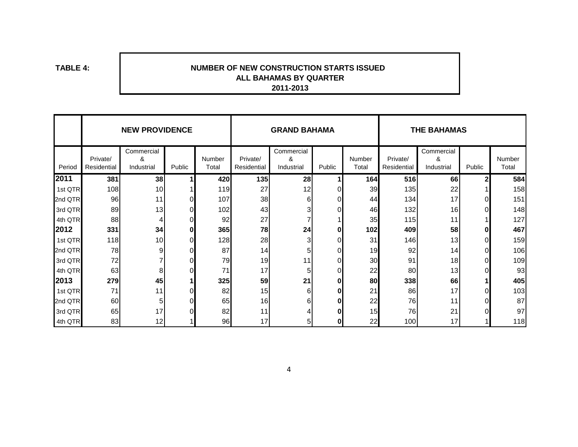**TABLE 4:**

#### **NUMBER OF NEW CONSTRUCTION STARTS ISSUED 2011-2013 ALL BAHAMAS BY QUARTER**

|         |                         | <b>NEW PROVIDENCE</b>         |        |                 |                         | <b>GRAND BAHAMA</b>           |          |                 | <b>THE BAHAMAS</b>      |                               |              |                 |
|---------|-------------------------|-------------------------------|--------|-----------------|-------------------------|-------------------------------|----------|-----------------|-------------------------|-------------------------------|--------------|-----------------|
| Period  | Private/<br>Residential | Commercial<br>&<br>Industrial | Public | Number<br>Total | Private/<br>Residential | Commercial<br>&<br>Industrial | Public   | Number<br>Total | Private/<br>Residential | Commercial<br>&<br>Industrial | Public       | Number<br>Total |
| 2011    | 381                     | 38                            |        | 420             | 135                     | 28                            |          | 164             | 516                     | 66                            | $\mathbf{2}$ | 584             |
| 1st QTR | 108                     | 10 <sub>l</sub>               |        | 119             | 27                      | 12                            | $\Omega$ | 39              | 135                     | 22                            |              | 158             |
| 2nd QTR | 96                      | 11                            |        | 107             | 38                      | 6                             | 0        | 44              | 134                     | 17                            |              | 151             |
| 3rd QTR | 89                      | 13                            |        | 102             | 43                      | 3                             | $\Omega$ | 46              | 132                     | 16                            |              | 148             |
| 4th QTR | 88                      | $\overline{4}$                |        | 92              | 27                      |                               |          | 35              | 115                     | 11                            |              | 127             |
| 2012    | 331                     | 34                            |        | 365             | 78                      | 24                            | 0        | 102             | 409                     | 58                            |              | 467             |
| 1st QTR | 118                     | 10 <sub>l</sub>               |        | 128             | 28                      | 3                             | 0        | 31              | 146                     | 13                            |              | 159             |
| 2nd QTR | 78                      | 9                             |        | 87              | 14                      | 5                             | $\Omega$ | 19              | 92                      | 14                            |              | 106             |
| 3rd QTR | 72                      | 7                             |        | 79              | 19                      | 11                            | 0        | 30              | 91                      | 18                            |              | 109             |
| 4th QTR | 63                      | 8 <sup>1</sup>                |        | 71              | 17                      | 5                             | $\Omega$ | 22              | 80                      | 13                            |              | 93              |
| 2013    | 279                     | 45                            |        | 325             | 59                      | 21                            | 0        | 80              | 338                     | 66                            |              | 405             |
| 1st QTR | 71                      | 11                            |        | 82              | 15                      | 6                             | $\bf{0}$ | 21              | 86                      | 17                            |              | 103             |
| 2nd QTR | 60                      | 5 <sub>l</sub>                |        | 65              | 16                      | 6                             | 0        | 22              | 76                      | 11                            |              | 87              |
| 3rd QTR | 65                      | 17                            |        | 82              | 11                      |                               | 0        | 15              | 76                      | 21                            |              | 97              |
| 4th QTR | 83                      | 12                            |        | 96              | 17                      | 5                             | 0        | 22              | 100                     | 17                            |              | 118             |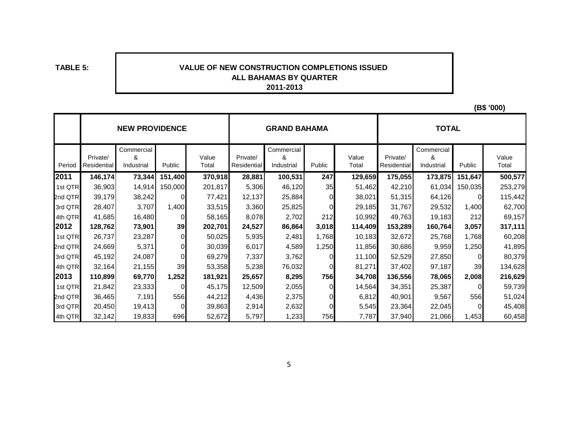**TABLE 5:**

#### **VALUE OF NEW CONSTRUCTION COMPLETIONS ISSUED 2011-2013ALL BAHAMAS BY QUARTER**

|         |                                | <b>NEW PROVIDENCE</b>         |         |                |                         | <b>GRAND BAHAMA</b>           |        |                | <b>TOTAL</b>            |                               |          |                |  |
|---------|--------------------------------|-------------------------------|---------|----------------|-------------------------|-------------------------------|--------|----------------|-------------------------|-------------------------------|----------|----------------|--|
| Period  | Private/<br><b>Residential</b> | Commercial<br>&<br>Industrial | Public  | Value<br>Total | Private/<br>Residential | Commercial<br>&<br>Industrial | Public | Value<br>Total | Private/<br>Residential | Commercial<br>&<br>Industrial | Public   | Value<br>Total |  |
| 2011    | 146,174                        | 73,344                        | 151,400 | 370,918        | 28,881                  | 100,531                       | 247    | 129,659        | 175,055                 | 173,875                       | 151,647  | 500,577        |  |
| 1st QTR | 36,903                         | 14,914                        | 150,000 | 201,817        | 5,306                   | 46,120                        | 35     | 51,462         | 42,210                  | 61,034                        | 150,035  | 253,279        |  |
| 2nd QTR | 39,179                         | 38,242                        |         | 77,421         | 12,137                  | 25,884                        | 0      | 38,021         | 51,315                  | 64,126                        | 0        | 115,442        |  |
| 3rd QTR | 28,407                         | 3,707                         | 1,400   | 33,515         | 3,360                   | 25,825                        | 0      | 29,185         | 31,767                  | 29,532                        | 1,400    | 62,700         |  |
| 4th QTR | 41,685                         | 16,480                        |         | 58,165         | 8,078                   | 2,702                         | 212    | 10,992         | 49,763                  | 19,183                        | 212      | 69,157         |  |
| 2012    | 128,762                        | 73,901                        | 39      | 202,701        | 24,527                  | 86,864                        | 3,018  | 114,409        | 153,289                 | 160,764                       | 3,057    | 317,111        |  |
| 1st QTR | 26,737                         | 23,287                        |         | 50,025         | 5,935                   | 2,481                         | 1,768  | 10,183         | 32,672                  | 25,768                        | 1,768    | 60,208         |  |
| 2nd QTR | 24,669                         | 5,371                         |         | 30,039         | 6,017                   | 4,589                         | 1,250  | 11,856         | 30,686                  | 9,959                         | 1,250    | 41,895         |  |
| 3rd QTR | 45,192                         | 24,087                        |         | 69,279         | 7,337                   | 3,762                         |        | 11,100         | 52,529                  | 27,850                        | $\Omega$ | 80,379         |  |
| 4th QTR | 32,164                         | 21,155                        | 39      | 53,358         | 5,238                   | 76,032                        |        | 81,271         | 37,402                  | 97,187                        | 39       | 134,628        |  |
| 2013    | 110,899                        | 69,770                        | 1,252   | 181,921        | 25,657                  | 8,295                         | 756    | 34,708         | 136,556                 | 78,065                        | 2,008    | 216,629        |  |
| 1st QTR | 21,842                         | 23,333                        |         | 45,175         | 12,509                  | 2,055                         | 0      | 14,564         | 34,351                  | 25,387                        |          | 59,739         |  |
| 2nd QTR | 36,465                         | 7,191                         | 556     | 44,212         | 4,436                   | 2,375                         |        | 6,812          | 40,901                  | 9,567                         | 556      | 51,024         |  |
| 3rd QTR | 20,450                         | 19,413                        |         | 39,863         | 2,914                   | 2,632                         |        | 5,545          | 23,364                  | 22,045                        |          | 45,408         |  |
| 4th QTR | 32,142                         | 19,833                        | 696     | 52,672         | 5,797                   | 1,233                         | 756    | 7,787          | 37,940                  | 21,066                        | 1,453    | 60,458         |  |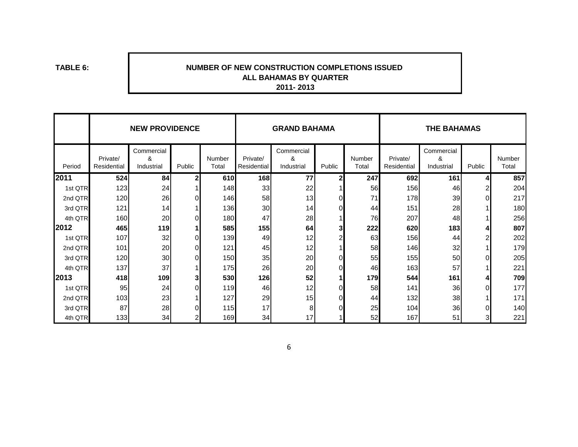**TABLE 6:**

#### **2011- 2013 NUMBER OF NEW CONSTRUCTION COMPLETIONS ISSUED ALL BAHAMAS BY QUARTER**

|         |                         | <b>NEW PROVIDENCE</b>         |              |                 |                         | <b>GRAND BAHAMA</b>           |        |                 | <b>THE BAHAMAS</b>      |                               |        |                 |  |
|---------|-------------------------|-------------------------------|--------------|-----------------|-------------------------|-------------------------------|--------|-----------------|-------------------------|-------------------------------|--------|-----------------|--|
| Period  | Private/<br>Residential | Commercial<br>&<br>Industrial | Public       | Number<br>Total | Private/<br>Residential | Commercial<br>&<br>Industrial | Public | Number<br>Total | Private/<br>Residential | Commercial<br>&<br>Industrial | Public | Number<br>Total |  |
| 2011    | 524                     | 84                            | $\mathbf{z}$ | 610             | 168                     | 77                            | 2      | 247             | 692                     | 161                           | 4      | 857             |  |
| 1st QTR | 123                     | 24                            |              | 148             | 33                      | 22                            |        | 56              | 156                     | 46                            | 2      | 204             |  |
| 2nd QTR | 120                     | 26                            | $\Omega$     | 146             | 58                      | 13                            | O.     | 71              | 178                     | 39                            | 0      | 217             |  |
| 3rd QTR | 121                     | 14                            |              | 136             | 30                      | 14                            |        | 44              | 151                     | 28                            |        | 180             |  |
| 4th QTR | 160                     | 20                            | $\Omega$     | 180             | 47                      | 28                            |        | 76              | 207                     | 48                            |        | 256             |  |
| 2012    | 465                     | 119                           |              | 585             | 155                     | 64                            | 3      | 222             | 620                     | 183                           |        | 807             |  |
| 1st QTR | 107                     | 32                            | 0            | 139             | 49                      | 12                            | 2      | 63              | 156                     | 44                            | 2      | 202             |  |
| 2nd QTR | 101                     | 20                            | $\Omega$     | 121             | 45                      | 12                            |        | 58              | 146                     | 32                            |        | 179             |  |
| 3rd QTR | 120                     | 30                            | $\Omega$     | 150             | 35                      | 20                            | O.     | 55              | 155                     | 50                            | 0      | 205             |  |
| 4th QTR | 137                     | 37                            |              | 175             | 26                      | 20                            |        | 46              | 163                     | 57                            |        | 221             |  |
| 2013    | 418                     | 109                           | 3            | 530             | 126                     | 52                            |        | 179             | 544                     | 161                           | 4      | 709             |  |
| 1st QTR | 95                      | 24                            | $\Omega$     | 119             | 46                      | 12                            | ∩      | 58              | 141                     | 36                            | 0      | 177             |  |
| 2nd QTR | 103                     | 23                            |              | 127             | 29                      | 15                            |        | 44              | 132                     | 38                            |        | $171$           |  |
| 3rd QTR | 87                      | 28                            |              | 115             | 17                      | 8                             |        | 25              | 104                     | 36                            | 0      | 140             |  |
| 4th QTR | 133                     | 34                            |              | 169             | 34                      | 17                            |        | 52              | 167                     | 51                            | 3      | 221             |  |

6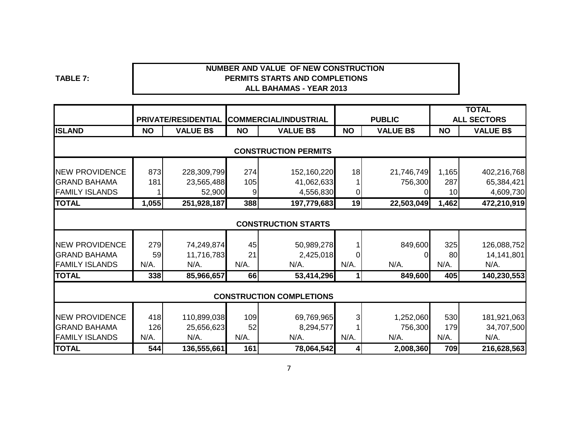**TABLE 7:**

#### **NUMBER AND VALUE OF NEW CONSTRUCTION ALL BAHAMAS - YEAR 2013PERMITS STARTS AND COMPLETIONS**

|                       |           |                     |           |                                 |                |                  |           | <b>TOTAL</b>       |
|-----------------------|-----------|---------------------|-----------|---------------------------------|----------------|------------------|-----------|--------------------|
|                       |           | PRIVATE/RESIDENTIAL |           | <b>COMMERCIAL/INDUSTRIAL</b>    |                | <b>PUBLIC</b>    |           | <b>ALL SECTORS</b> |
| <b>ISLAND</b>         | <b>NO</b> | <b>VALUE B\$</b>    | <b>NO</b> | <b>VALUE B\$</b>                | <b>NO</b>      | <b>VALUE B\$</b> | <b>NO</b> | <b>VALUE B\$</b>   |
|                       |           |                     |           |                                 |                |                  |           |                    |
|                       |           |                     |           | <b>CONSTRUCTION PERMITS</b>     |                |                  |           |                    |
| <b>NEW PROVIDENCE</b> | 873       | 228,309,799         | 274       | 152,160,220                     | 18             | 21,746,749       | 1,165     | 402,216,768        |
| <b>GRAND BAHAMA</b>   | 181       | 23,565,488          | 105       | 41,062,633                      |                | 756,300          | 287       | 65,384,421         |
| <b>FAMILY ISLANDS</b> |           | 52,900              | 9         | 4,556,830                       | $\overline{0}$ |                  | 10        | 4,609,730          |
| <b>TOTAL</b>          | 1,055     | 251,928,187         | 388       | 197,779,683                     | 19             | 22,503,049       | 1,462     | 472,210,919        |
|                       |           |                     |           |                                 |                |                  |           |                    |
|                       |           |                     |           | <b>CONSTRUCTION STARTS</b>      |                |                  |           |                    |
| <b>NEW PROVIDENCE</b> | 279       | 74,249,874          | 45        | 50,989,278                      |                | 849,600          | 325       | 126,088,752        |
| <b>GRAND BAHAMA</b>   | 59        | 11,716,783          | 21        | 2,425,018                       | 0              |                  | 80        | 14,141,801         |
| <b>FAMILY ISLANDS</b> | N/A.      | N/A.                | N/A.      | $N/A$ .                         | N/A.           | $N/A$ .          | N/A.      | N/A.               |
| <b>TOTAL</b>          | 338       | 85,966,657          | 66        | 53,414,296                      | 1              | 849,600          | 405       | 140,230,553        |
|                       |           |                     |           |                                 |                |                  |           |                    |
|                       |           |                     |           | <b>CONSTRUCTION COMPLETIONS</b> |                |                  |           |                    |
| <b>NEW PROVIDENCE</b> | 418       | 110,899,038         | 109       | 69,769,965                      | 3              | 1,252,060        | 530       | 181,921,063        |
| <b>GRAND BAHAMA</b>   | 126       | 25,656,623          | 52        | 8,294,577                       |                | 756,300          | 179       | 34,707,500         |
| <b>FAMILY ISLANDS</b> | N/A.      | N/A.                | N/A.      | $N/A$ .                         | $N/A$ .        | $N/A$ .          | N/A.      | N/A.               |
| <b>TOTAL</b>          | 544       | 136,555,661         | 161       | 78,064,542                      | 4              | 2,008,360        | 709       | 216,628,563        |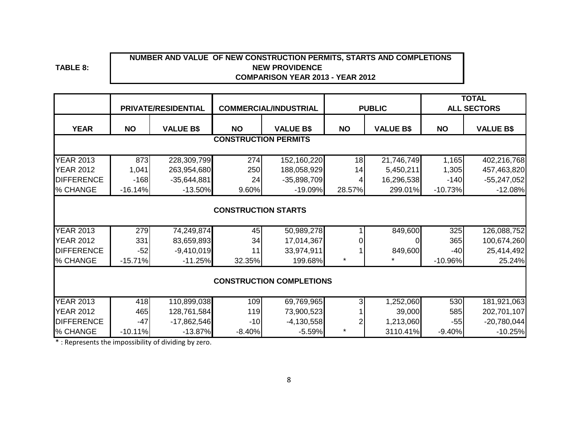### **NUMBER AND VALUE OF NEW CONSTRUCTION PERMITS, STARTS AND COMPLETIONS NEW PROVIDENCE COMPARISON YEAR 2013 - YEAR 2012**

**TABLE 8:**

|                   |                             | PRIVATE/RESIDENTIAL |                            | <b>COMMERCIAL/INDUSTRIAL</b>    |           | <b>PUBLIC</b>    |           | <b>TOTAL</b><br><b>ALL SECTORS</b> |  |  |  |  |  |
|-------------------|-----------------------------|---------------------|----------------------------|---------------------------------|-----------|------------------|-----------|------------------------------------|--|--|--|--|--|
| <b>YEAR</b>       | <b>NO</b>                   | <b>VALUE B\$</b>    | <b>NO</b>                  | <b>VALUE B\$</b>                | <b>NO</b> | <b>VALUE B\$</b> | <b>NO</b> | <b>VALUE B\$</b>                   |  |  |  |  |  |
|                   | <b>CONSTRUCTION PERMITS</b> |                     |                            |                                 |           |                  |           |                                    |  |  |  |  |  |
| <b>YEAR 2013</b>  | 873                         | 228,309,799         | 274                        | 152,160,220                     | 18        | 21,746,749       | 1,165     | 402,216,768                        |  |  |  |  |  |
| <b>YEAR 2012</b>  | 1,041                       | 263,954,680         | 250                        | 188,058,929                     | 14        | 5,450,211        | 1,305     | 457,463,820                        |  |  |  |  |  |
| <b>DIFFERENCE</b> | $-168$                      | $-35,644,881$       | 24                         | $-35,898,709$                   |           | 16,296,538       | $-140$    | $-55,247,052$                      |  |  |  |  |  |
| % CHANGE          | $-16.14%$                   | $-13.50%$           | 9.60%                      | $-19.09%$                       | 28.57%    | 299.01%          | $-10.73%$ | $-12.08%$                          |  |  |  |  |  |
|                   |                             |                     | <b>CONSTRUCTION STARTS</b> |                                 |           |                  |           |                                    |  |  |  |  |  |
| <b>YEAR 2013</b>  | 279                         | 74,249,874          | 45                         | 50,989,278                      |           | 849,600          | 325       | 126,088,752                        |  |  |  |  |  |
| <b>YEAR 2012</b>  | 331                         | 83,659,893          | 34                         | 17,014,367                      |           |                  | 365       | 100,674,260                        |  |  |  |  |  |
| <b>DIFFERENCE</b> | $-52$                       | $-9,410,019$        | 11                         | 33,974,911                      |           | 849,600          | $-40$     | 25,414,492                         |  |  |  |  |  |
| % CHANGE          | $-15.71%$                   | $-11.25%$           | 32.35%                     | 199.68%                         | *         |                  | $-10.96%$ | 25.24%                             |  |  |  |  |  |
|                   |                             |                     |                            | <b>CONSTRUCTION COMPLETIONS</b> |           |                  |           |                                    |  |  |  |  |  |
| <b>YEAR 2013</b>  | 418                         | 110,899,038         | 109                        | 69,769,965                      |           | 1,252,060        | 530       | 181,921,063                        |  |  |  |  |  |
| <b>YEAR 2012</b>  | 465                         | 128,761,584         | 119                        | 73,900,523                      |           | 39,000           | 585       | 202,701,107                        |  |  |  |  |  |
| <b>DIFFERENCE</b> | $-47$                       | $-17,862,546$       | $-10$                      | $-4,130,558$                    |           | 1,213,060        | $-55$     | $-20,780,044$                      |  |  |  |  |  |
| % CHANGE          | $-10.11%$                   | $-13.87%$           | $-8.40%$                   | $-5.59%$                        | *         | 3110.41%         | $-9.40%$  | $-10.25%$                          |  |  |  |  |  |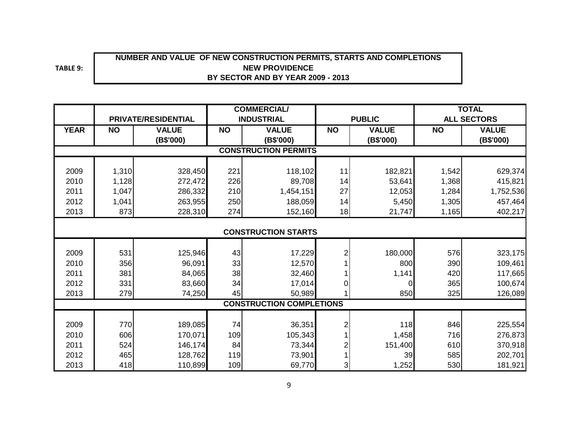# **NUMBER AND VALUE OF NEW CONSTRUCTION PERMITS, STARTS AND COMPLETIONS BY SECTOR AND BY YEAR 2009 - 2013 NEW PROVIDENCE**

**TABLE 9:**

|             | PRIVATE/RESIDENTIAL |                           |           | <b>COMMERCIAL/</b>              |                |                           |           | <b>TOTAL</b>              |
|-------------|---------------------|---------------------------|-----------|---------------------------------|----------------|---------------------------|-----------|---------------------------|
|             |                     |                           |           | <b>INDUSTRIAL</b>               |                | <b>PUBLIC</b>             |           | <b>ALL SECTORS</b>        |
| <b>YEAR</b> | <b>NO</b>           | <b>VALUE</b><br>(B\$'000) | <b>NO</b> | <b>VALUE</b><br>(B\$'000)       | <b>NO</b>      | <b>VALUE</b><br>(B\$'000) | <b>NO</b> | <b>VALUE</b><br>(B\$'000) |
|             |                     |                           |           | <b>CONSTRUCTION PERMITS</b>     |                |                           |           |                           |
|             |                     |                           |           |                                 |                |                           |           |                           |
| 2009        | 1,310               | 328,450                   | 221       | 118,102                         | 11             | 182,821                   | 1,542     | 629,374                   |
| 2010        | 1,128               | 272,472                   | 226       | 89,708                          | 14             | 53,641                    | 1,368     | 415,821                   |
| 2011        | 1,047               | 286,332                   | 210       | 1,454,151                       | 27             | 12,053                    | 1,284     | 1,752,536                 |
| 2012        | 1,041               | 263,955                   | 250       | 188,059                         | 14             | 5,450                     | 1,305     | 457,464                   |
| 2013        | 873                 | 228,310                   | 274       | 152,160                         | 18             | 21,747                    | 1,165     | 402,217                   |
|             |                     |                           |           |                                 |                |                           |           |                           |
|             |                     |                           |           | <b>CONSTRUCTION STARTS</b>      |                |                           |           |                           |
|             |                     |                           |           |                                 |                |                           |           |                           |
| 2009        | 531                 | 125,946                   | 43        | 17,229                          | $\overline{2}$ | 180,000                   | 576       | 323,175                   |
| 2010        | 356                 | 96,091                    | 33        | 12,570                          |                | 800                       | 390       | 109,461                   |
| 2011        | 381                 | 84,065                    | 38        | 32,460                          |                | 1,141                     | 420       | 117,665                   |
| 2012        | 331                 | 83,660                    | 34        | 17,014                          | $\Omega$       | 0                         | 365       | 100,674                   |
| 2013        | 279                 | 74,250                    | 45        | 50,989                          |                | 850                       | 325       | 126,089                   |
|             |                     |                           |           | <b>CONSTRUCTION COMPLETIONS</b> |                |                           |           |                           |
|             |                     |                           |           |                                 |                |                           |           |                           |
| 2009        | 770                 | 189,085                   | 74        | 36,351                          | $\overline{c}$ | 118                       | 846       | 225,554                   |
| 2010        | 606                 | 170,071                   | 109       | 105,343                         |                | 1,458                     | 716       | 276,873                   |
| 2011        | 524                 | 146,174                   | 84        | 73,344                          | 2              | 151,400                   | 610       | 370,918                   |
| 2012        | 465                 | 128,762                   | 119       | 73,901                          |                | 39                        | 585       | 202,701                   |
| 2013        | 418                 | 110,899                   | 109       | 69,770                          | 3              | 1,252                     | 530       | 181,921                   |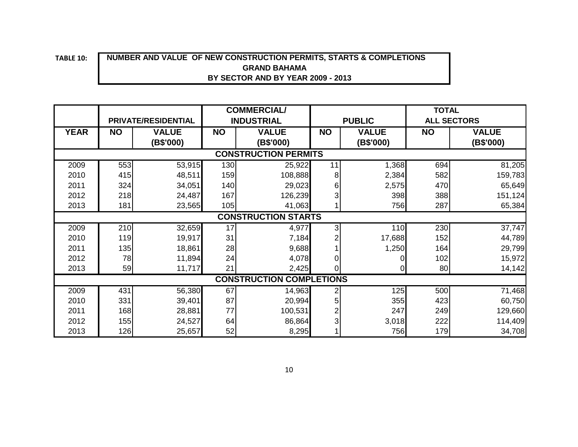# **10: NUMBER AND VALUE OF NEW CONSTRUCTION PERMITS, STARTS & COMPLETIONS BY SECTOR AND BY YEAR 2009 - 2013 GRAND BAHAMA**

|                                 |                            |                           | <b>COMMERCIAL/</b> |                           |           |                           | <b>TOTAL</b> |                           |  |  |  |
|---------------------------------|----------------------------|---------------------------|--------------------|---------------------------|-----------|---------------------------|--------------|---------------------------|--|--|--|
|                                 |                            | PRIVATE/RESIDENTIAL       |                    | <b>INDUSTRIAL</b>         |           | <b>PUBLIC</b>             |              | <b>ALL SECTORS</b>        |  |  |  |
| <b>YEAR</b>                     | <b>NO</b>                  | <b>VALUE</b><br>(B\$'000) | <b>NO</b>          | <b>VALUE</b><br>(B\$'000) | <b>NO</b> | <b>VALUE</b><br>(B\$'000) | <b>NO</b>    | <b>VALUE</b><br>(B\$'000) |  |  |  |
| <b>CONSTRUCTION PERMITS</b>     |                            |                           |                    |                           |           |                           |              |                           |  |  |  |
| 2009                            | 553                        | 53,915                    | 130                | 25,922                    | 11        | 1,368                     | 694          | 81,205                    |  |  |  |
| 2010                            | 415                        | 48,511                    | 159                | 108,888                   | 8         | 2,384                     | 582          | 159,783                   |  |  |  |
| 2011                            | 324                        | 34,051                    | 140                | 29,023                    | $6 \mid$  | 2,575                     | 470          | 65,649                    |  |  |  |
| 2012                            | 218                        | 24,487                    | 167                | 126,239                   |           | 398                       | 388          | 151,124                   |  |  |  |
| 2013                            | 181                        | 23,565                    | 105                | 41,063                    |           | 756                       | 287          | 65,384                    |  |  |  |
|                                 | <b>CONSTRUCTION STARTS</b> |                           |                    |                           |           |                           |              |                           |  |  |  |
| 2009                            | 210                        | 32,659                    | 17                 | 4,977                     | 31        | 110                       | 230          | 37,747                    |  |  |  |
| 2010                            | 119                        | 19,917                    | 31                 | 7,184                     |           | 17,688                    | 152          | 44,789                    |  |  |  |
| 2011                            | 135                        | 18,861                    | 28                 | 9,688                     |           | 1,250                     | 164          | 29,799                    |  |  |  |
| 2012                            | 78                         | 11,894                    | 24                 | 4,078                     | 01        | 0                         | 102          | 15,972                    |  |  |  |
| 2013                            | 59                         | 11,717                    | 21                 | 2,425                     | ΩI        | 0                         | 80           | 14,142                    |  |  |  |
| <b>CONSTRUCTION COMPLETIONS</b> |                            |                           |                    |                           |           |                           |              |                           |  |  |  |
| 2009                            | 431                        | 56,380                    | 67                 | 14,963                    |           | 125                       | 500          | 71,468                    |  |  |  |
| 2010                            | 331                        | 39,401                    | 87                 | 20,994                    | 5         | 355                       | 423          | 60,750                    |  |  |  |
| 2011                            | 168                        | 28,881                    | 77                 | 100,531                   |           | 247                       | 249          | 129,660                   |  |  |  |
| 2012                            | 155                        | 24,527                    | 64                 | 86,864                    | 3         | 3,018                     | 222          | 114,409                   |  |  |  |
| 2013                            | 126                        | 25,657                    | 52                 | 8,295                     |           | 756                       | 179          | 34,708                    |  |  |  |

**TABLE**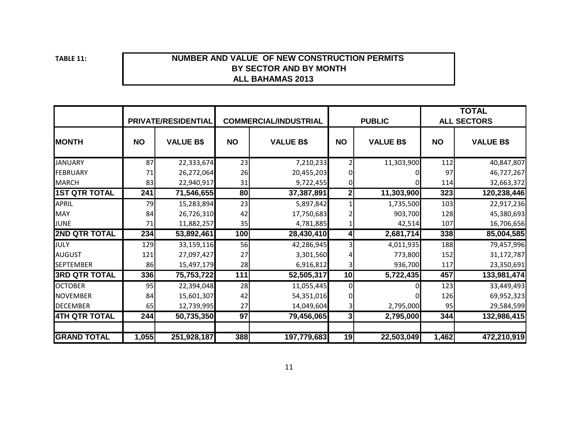**TABLE 11:**

#### **ALL BAHAMAS 2013BY SECTOR AND BY MONTHNUMBER AND VALUE OF NEW CONSTRUCTION PERMITS**

|                      |           | PRIVATE/RESIDENTIAL |           | <b>COMMERCIAL/INDUSTRIAL</b> | <b>PUBLIC</b> |                  | <b>TOTAL</b><br><b>ALL SECTORS</b> |                  |  |
|----------------------|-----------|---------------------|-----------|------------------------------|---------------|------------------|------------------------------------|------------------|--|
| <b>MONTH</b>         | <b>NO</b> | <b>VALUE B\$</b>    | <b>NO</b> | <b>VALUE B\$</b>             | <b>NO</b>     | <b>VALUE B\$</b> | <b>NO</b>                          | <b>VALUE B\$</b> |  |
| <b>JANUARY</b>       | 87        | 22,333,674          | 23        | 7,210,233                    |               | 11,303,900       | 112                                | 40,847,807       |  |
| FEBRUARY             | 71        | 26,272,064          | 26        | 20,455,203                   |               |                  | 97                                 | 46,727,267       |  |
| <b>MARCH</b>         | 83        | 22,940,917          | 31        | 9,722,455                    |               |                  | 114                                | 32,663,372       |  |
| <b>1ST QTR TOTAL</b> | 241       | 71,546,655          | 80        | 37,387,891                   | 2             | 11,303,900       | 323                                | 120,238,446      |  |
| <b>APRIL</b>         | 79        | 15,283,894          | 23        | 5,897,842                    |               | 1,735,500        | 103                                | 22,917,236       |  |
| <b>MAY</b>           | 84        | 26,726,310          | 42        | 17,750,683                   |               | 903,700          | 128                                | 45,380,693       |  |
| <b>JUNE</b>          | 71        | 11,882,257          | 35        | 4,781,885                    |               | 42,514           | 107                                | 16,706,656       |  |
| <b>2ND QTR TOTAL</b> | 234       | 53,892,461          | 100       | 28,430,410                   |               | 2,681,714        | 338                                | 85,004,585       |  |
| JULY                 | 129       | 33,159,116          | 56        | 42,286,945                   |               | 4,011,935        | 188                                | 79,457,996       |  |
| <b>AUGUST</b>        | 121       | 27,097,427          | 27        | 3,301,560                    |               | 773,800          | 152                                | 31,172,787       |  |
| <b>SEPTEMBER</b>     | 86        | 15,497,179          | 28        | 6,916,812                    | 3             | 936,700          | 117                                | 23,350,691       |  |
| <b>3RD QTR TOTAL</b> | 336       | 75,753,722          | 111       | 52,505,317                   | 10            | 5,722,435        | 457                                | 133,981,474      |  |
| <b>OCTOBER</b>       | 95        | 22,394,048          | 28        | 11,055,445                   | $\Omega$      |                  | 123                                | 33,449,493       |  |
| <b>NOVEMBER</b>      | 84        | 15,601,307          | 42        | 54,351,016                   |               |                  | 126                                | 69,952,323       |  |
| <b>DECEMBER</b>      | 65        | 12,739,995          | 27        | 14,049,604                   | 3             | 2,795,000        | 95                                 | 29,584,599       |  |
| <b>4TH QTR TOTAL</b> | 244       | 50,735,350          | 97        | 79,456,065                   | 3             | 2,795,000        | 344                                | 132,986,415      |  |
|                      |           |                     |           |                              |               |                  |                                    |                  |  |
| <b>GRAND TOTAL</b>   | 1,055     | 251,928,187         | 388       | 197,779,683                  | 19            | 22,503,049       | 1,462                              | 472,210,919      |  |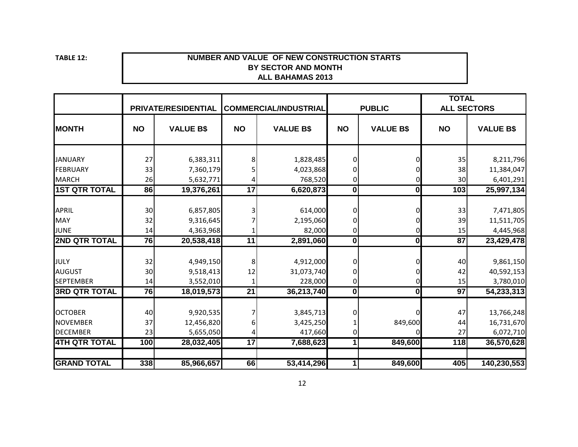**TABLE 12:**

#### **NUMBER AND VALUE OF NEW CONSTRUCTION STARTS ALL BAHAMAS 2013 BY SECTOR AND MONTH**

|                      |           | <b>PRIVATE/RESIDENTIAL</b> |                 | <b>COMMERCIAL/INDUSTRIAL</b> |              | <b>PUBLIC</b>    | <b>TOTAL</b>    | <b>ALL SECTORS</b> |
|----------------------|-----------|----------------------------|-----------------|------------------------------|--------------|------------------|-----------------|--------------------|
| <b>MONTH</b>         | <b>NO</b> | <b>VALUE B\$</b>           | <b>NO</b>       | <b>VALUE B\$</b>             | <b>NO</b>    | <b>VALUE B\$</b> | <b>NO</b>       | <b>VALUE B\$</b>   |
| <b>JANUARY</b>       | 27        | 6,383,311                  | 8               | 1,828,485                    |              |                  | 35              | 8,211,796          |
| <b>FEBRUARY</b>      | 33        | 7,360,179                  |                 | 4,023,868                    |              |                  | 38              | 11,384,047         |
| <b>MARCH</b>         | 26        | 5,632,771                  |                 | 768,520                      |              |                  | 30              | 6,401,291          |
| <b>1ST QTR TOTAL</b> | 86        | 19,376,261                 | 17              | 6,620,873                    | $\mathbf{0}$ | 0                | 103             | 25,997,134         |
|                      |           |                            |                 |                              |              |                  |                 |                    |
| <b>APRIL</b>         | 30        | 6,857,805                  |                 | 614,000                      |              |                  | 33              | 7,471,805          |
| <b>MAY</b>           | 32        | 9,316,645                  |                 | 2,195,060                    |              |                  | 39              | 11,511,705         |
| <b>JUNE</b>          | 14        | 4,363,968                  |                 | 82,000                       | 0            |                  | 15              | 4,445,968          |
| <b>2ND QTR TOTAL</b> | 76        | 20,538,418                 | $\overline{11}$ | 2,891,060                    | $\mathbf{0}$ | $\mathbf 0$      | $\overline{87}$ | 23,429,478         |
|                      |           |                            |                 |                              |              |                  |                 |                    |
| JULY                 | 32        | 4,949,150                  | 8               | 4,912,000                    | O            |                  | 40              | 9,861,150          |
| <b>AUGUST</b>        | 30        | 9,518,413                  | 12              | 31,073,740                   |              |                  | 42              | 40,592,153         |
| <b>SEPTEMBER</b>     | 14        | 3,552,010                  |                 | 228,000                      | 0            |                  | 15              | 3,780,010          |
| <b>3RD QTR TOTAL</b> | 76        | 18,019,573                 | $\overline{21}$ | 36,213,740                   | $\mathbf{0}$ | $\mathbf 0$      | $\overline{97}$ | 54,233,313         |
|                      |           |                            |                 |                              |              |                  |                 |                    |
| <b>OCTOBER</b>       | 40        | 9,920,535                  |                 | 3,845,713                    |              |                  | 47              | 13,766,248         |
| <b>NOVEMBER</b>      | 37        | 12,456,820                 |                 | 3,425,250                    |              | 849,600          | 44              | 16,731,670         |
| <b>DECEMBER</b>      | 23        | 5,655,050                  |                 | 417,660                      | 0            |                  | 27              | 6,072,710          |
| <b>4TH QTR TOTAL</b> | 100       | 28,032,405                 | $\overline{17}$ | 7,688,623                    | 1            | 849,600          | 118             | 36,570,628         |
| <b>GRAND TOTAL</b>   | 338       | 85,966,657                 | 66              | 53,414,296                   | 1            | 849,600          | 405             | 140,230,553        |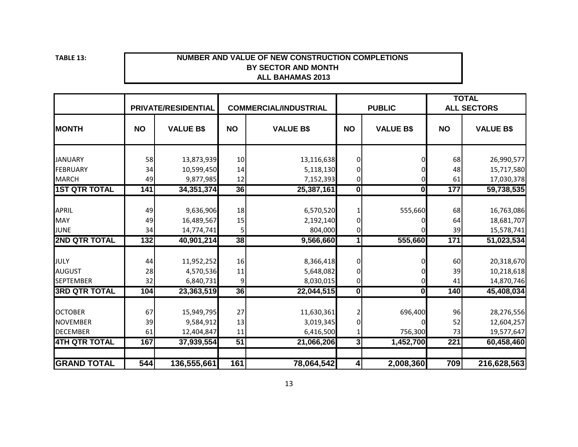**TABLE 13:**

#### **NUMBER AND VALUE OF NEW CONSTRUCTION COMPLETIONS ALL BAHAMAS 2013 BY SECTOR AND MONTH**

|                      |                  | <b>PRIVATE/RESIDENTIAL</b> |                | <b>COMMERCIAL/INDUSTRIAL</b> |                         | <b>PUBLIC</b>    |                  | <b>TOTAL</b><br><b>ALL SECTORS</b> |
|----------------------|------------------|----------------------------|----------------|------------------------------|-------------------------|------------------|------------------|------------------------------------|
| <b>MONTH</b>         | <b>NO</b>        | <b>VALUE B\$</b>           | <b>NO</b>      | <b>VALUE B\$</b>             | <b>NO</b>               | <b>VALUE B\$</b> | <b>NO</b>        | <b>VALUE B\$</b>                   |
| <b>JANUARY</b>       | 58               | 13,873,939                 | 10             | 13,116,638                   | 0                       |                  | 68               | 26,990,577                         |
| FEBRUARY             | 34               | 10,599,450                 | 14             | 5,118,130                    | $\Omega$                |                  | 48               | 15,717,580                         |
| <b>MARCH</b>         | 49               | 9,877,985                  | 12             | 7,152,393                    | 0                       |                  | 61               | 17,030,378                         |
| <b>1ST QTR TOTAL</b> | 141              | 34, 351, 374               | 36             | 25,387,161                   | $\overline{\mathbf{0}}$ | 0                | 177              | 59,738,535                         |
|                      |                  |                            |                |                              |                         |                  |                  |                                    |
| <b>APRIL</b>         | 49               | 9,636,906                  | 18             | 6,570,520                    |                         | 555,660          | 68               | 16,763,086                         |
| <b>MAY</b>           | 49               | 16,489,567                 | 15             | 2,192,140                    | 0                       |                  | 64               | 18,681,707                         |
| <b>JUNE</b>          | 34               | 14,774,741                 | 5              | 804,000                      | 0                       |                  | 39               | 15,578,741                         |
| <b>2ND QTR TOTAL</b> | $\overline{132}$ | 40,901,214                 | 38             | 9,566,660                    | 1                       | 555,660          | $\overline{171}$ | 51,023,534                         |
|                      |                  |                            |                |                              |                         |                  |                  |                                    |
| JULY                 | 44               | 11,952,252                 | 16             | 8,366,418                    | 0                       |                  | 60               | 20,318,670                         |
| <b>AUGUST</b>        | 28               | 4,570,536                  | $11\,$         | 5,648,082                    | 0                       |                  | 39               | 10,218,618                         |
| <b>SEPTEMBER</b>     | 32               | 6,840,731                  | $\overline{9}$ | 8,030,015                    | 0                       |                  | 41               | 14,870,746                         |
| <b>3RD QTR TOTAL</b> | 104              | 23,363,519                 | 36             | 22,044,515                   | $\overline{\mathbf{0}}$ | $\mathbf{0}$     | 140              | 45,408,034                         |
| <b>OCTOBER</b>       | 67               | 15,949,795                 | 27             | 11,630,361                   |                         | 696,400          | 96               | 28,276,556                         |
| <b>NOVEMBER</b>      | 39               | 9,584,912                  | 13             | 3,019,345                    | $\Omega$                |                  | 52               | 12,604,257                         |
| <b>DECEMBER</b>      | 61               | 12,404,847                 | 11             | 6,416,500                    | 1                       | 756,300          | 73               | 19,577,647                         |
| <b>4TH QTR TOTAL</b> | 167              | 37,939,554                 | 51             | 21,066,206                   | $\overline{3}$          | 1,452,700        | 221              | 60,458,460                         |
|                      |                  |                            |                |                              |                         |                  |                  |                                    |
| <b>GRAND TOTAL</b>   | 544              | 136,555,661                | 161            | 78,064,542                   | $\vert$                 | 2,008,360        | 709              | 216,628,563                        |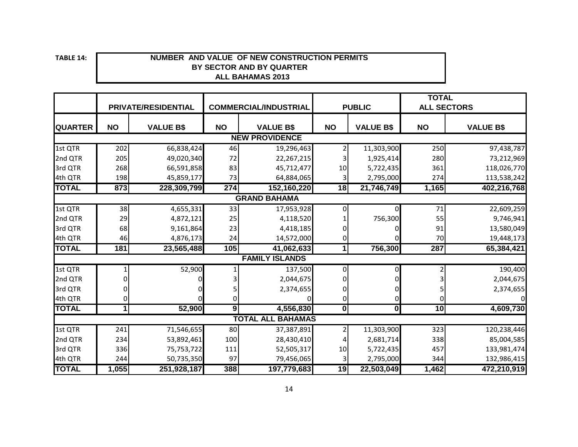**TABLE**

#### **14: NUMBER AND VALUE OF NEW CONSTRUCTION PERMITS BY SECTOR AND BY QUARTER ALL BAHAMAS 2013**

|                     |           | <b>PRIVATE/RESIDENTIAL</b> |                | <b>COMMERCIAL/INDUSTRIAL</b> |                         | <b>PUBLIC</b>           | <b>TOTAL</b> | <b>ALL SECTORS</b> |  |  |  |
|---------------------|-----------|----------------------------|----------------|------------------------------|-------------------------|-------------------------|--------------|--------------------|--|--|--|
|                     |           |                            |                |                              |                         |                         |              |                    |  |  |  |
| <b>QUARTER</b>      | <b>NO</b> | <b>VALUE B\$</b>           | <b>NO</b>      | <b>VALUE B\$</b>             | <b>NO</b>               | <b>VALUE B\$</b>        | <b>NO</b>    | <b>VALUE B\$</b>   |  |  |  |
|                     |           |                            |                | <b>NEW PROVIDENCE</b>        |                         |                         |              |                    |  |  |  |
| 1st QTR             | 202       | 66,838,424                 | 46             | 19,296,463                   |                         | 11,303,900              | 250          | 97,438,787         |  |  |  |
| 2nd QTR             | 205       | 49,020,340                 | 72             | 22,267,215                   |                         | 1,925,414               | 280          | 73,212,969         |  |  |  |
| 3rd QTR             | 268       | 66,591,858                 | 83             | 45,712,477                   | 10                      | 5,722,435               | 361          | 118,026,770        |  |  |  |
| 4th QTR             | 198       | 45,859,177                 | 73             | 64,884,065                   | 3                       | 2,795,000               | 274          | 113,538,242        |  |  |  |
| <b>TOTAL</b>        | 873       | 228,309,799                | 274            | 152,160,220                  | 18                      | 21,746,749              | 1,165        | 402,216,768        |  |  |  |
| <b>GRAND BAHAMA</b> |           |                            |                |                              |                         |                         |              |                    |  |  |  |
| 1st QTR             | 38        | 4,655,331                  | 33             | 17,953,928                   | 0                       | 0                       | 71           | 22,609,259         |  |  |  |
| 2nd QTR             | 29        | 4,872,121                  | 25             | 4,118,520                    |                         | 756,300                 | 55           | 9,746,941          |  |  |  |
| 3rd QTR             | 68        | 9,161,864                  | 23             | 4,418,185                    |                         |                         | 91           | 13,580,049         |  |  |  |
| 4th QTR             | 46        | 4,876,173                  | 24             | 14,572,000                   | 0                       |                         | 70           | 19,448,173         |  |  |  |
| <b>TOTAL</b>        | 181       | 23,565,488                 | 105            | 41,062,633                   | 1                       | 756,300                 | 287          | 65,384,421         |  |  |  |
|                     |           |                            |                | <b>FAMILY ISLANDS</b>        |                         |                         |              |                    |  |  |  |
| 1st QTR             |           | 52,900                     |                | 137,500                      | Οl                      | 0                       |              | 190,400            |  |  |  |
| 2nd QTR             |           |                            |                | 2,044,675                    |                         |                         |              | 2,044,675          |  |  |  |
| 3rd QTR             |           |                            |                | 2,374,655                    |                         | 0                       |              | 2,374,655          |  |  |  |
| 4th QTR             |           |                            | 0              |                              | 0                       | 0                       |              |                    |  |  |  |
| <b>TOTAL</b>        | 1         | 52,900                     | $\overline{9}$ | 4,556,830                    | $\overline{\mathbf{0}}$ | $\overline{\mathbf{0}}$ | 10           | 4,609,730          |  |  |  |
|                     |           |                            |                | <b>TOTAL ALL BAHAMAS</b>     |                         |                         |              |                    |  |  |  |
| 1st QTR             | 241       | 71,546,655                 | 80             | 37,387,891                   | 2                       | 11,303,900              | 323          | 120,238,446        |  |  |  |
| 2nd QTR             | 234       | 53,892,461                 | 100            | 28,430,410                   |                         | 2,681,714               | 338          | 85,004,585         |  |  |  |
| 3rd QTR             | 336       | 75,753,722                 | 111            | 52,505,317                   | $10\,$                  | 5,722,435               | 457          | 133,981,474        |  |  |  |
| 4th QTR             | 244       | 50,735,350                 | 97             | 79,456,065                   | 3                       | 2,795,000               | 344          | 132,986,415        |  |  |  |
| <b>TOTAL</b>        | 1,055     | 251,928,187                | 388            | 197,779,683                  | 19                      | 22,503,049              | 1,462        | 472,210,919        |  |  |  |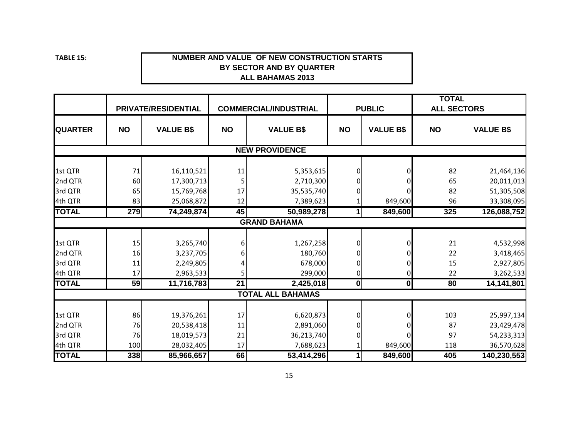**TABLE**

#### **15: NUMBER AND VALUE OF NEW CONSTRUCTION STARTS BY SECTOR AND BY QUARTER ALL BAHAMAS 2013**

|                |           | PRIVATE/RESIDENTIAL |                 | <b>COMMERCIAL/INDUSTRIAL</b> |                | <b>PUBLIC</b>    | <b>TOTAL</b><br><b>ALL SECTORS</b> |                  |
|----------------|-----------|---------------------|-----------------|------------------------------|----------------|------------------|------------------------------------|------------------|
| <b>QUARTER</b> | <b>NO</b> | <b>VALUE B\$</b>    | <b>NO</b>       | <b>VALUE B\$</b>             | <b>NO</b>      | <b>VALUE B\$</b> | <b>NO</b>                          | <b>VALUE B\$</b> |
|                |           |                     |                 | <b>NEW PROVIDENCE</b>        |                |                  |                                    |                  |
|                |           |                     |                 |                              |                |                  |                                    |                  |
| 1st QTR        | 71        | 16,110,521          | 11              | 5,353,615                    | $\overline{0}$ |                  | 82                                 | 21,464,136       |
| 2nd QTR        | 60        | 17,300,713          |                 | 2,710,300                    | 0              |                  | 65                                 | 20,011,013       |
| 3rd QTR        | 65        | 15,769,768          | 17              | 35,535,740                   | 0              |                  | 82                                 | 51,305,508       |
| 4th QTR        | 83        | 25,068,872          | 12              | 7,389,623                    |                | 849,600          | 96                                 | 33,308,095       |
| <b>TOTAL</b>   | 279       | 74,249,874          | 45              | 50,989,278                   | $\mathbf{1}$   | 849,600          | 325                                | 126,088,752      |
|                |           |                     |                 | <b>GRAND BAHAMA</b>          |                |                  |                                    |                  |
|                |           |                     |                 |                              |                |                  |                                    |                  |
| 1st QTR        | 15        | 3,265,740           | 6               | 1,267,258                    | $\overline{0}$ |                  | 21                                 | 4,532,998        |
| 2nd QTR        | 16        | 3,237,705           |                 | 180,760                      | $\Omega$       |                  | 22                                 | 3,418,465        |
| 3rd QTR        | 11        | 2,249,805           |                 | 678,000                      | $\overline{0}$ | 0                | 15                                 | 2,927,805        |
| 4th QTR        | 17        | 2,963,533           | 5               | 299,000                      | 0              | 0                | 22                                 | 3,262,533        |
| <b>TOTAL</b>   | 59        | 11,716,783          | $\overline{21}$ | 2,425,018                    | 0              | $\mathbf{0}$     | $\overline{80}$                    | 14,141,801       |
|                |           |                     |                 | <b>TOTAL ALL BAHAMAS</b>     |                |                  |                                    |                  |
|                |           |                     |                 |                              |                |                  |                                    |                  |
| 1st QTR        | 86        | 19,376,261          | 17              | 6,620,873                    | $\overline{0}$ |                  | 103                                | 25,997,134       |
| 2nd QTR        | 76        | 20,538,418          | 11              | 2,891,060                    | $\overline{0}$ |                  | 87                                 | 23,429,478       |
| 3rd QTR        | 76        | 18,019,573          | 21              | 36,213,740                   | $\overline{0}$ |                  | 97                                 | 54,233,313       |
| 4th QTR        | 100       | 28,032,405          | 17              | 7,688,623                    |                | 849,600          | 118                                | 36,570,628       |
| <b>TOTAL</b>   | 338       | 85,966,657          | 66              | 53,414,296                   | $\mathbf{1}$   | 849,600          | 405                                | 140,230,553      |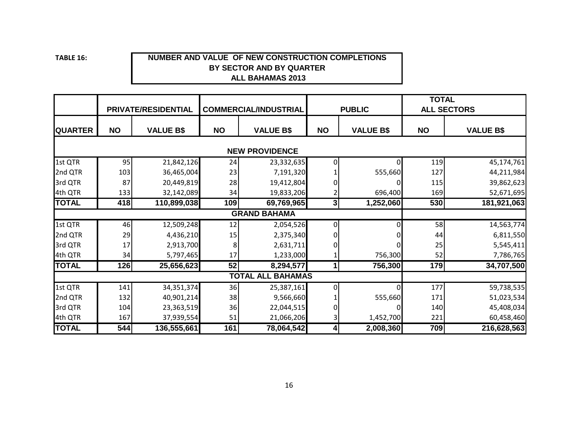**TABLE**

#### **16: NUMBER AND VALUE OF NEW CONSTRUCTION COMPLETIONS BY SECTOR AND BY QUARTER ALL BAHAMAS 2013**

|                |           | <b>PRIVATE/RESIDENTIAL</b> |           | <b>COMMERCIAL/INDUSTRIAL</b>       | <b>PUBLIC</b> |                  | <b>TOTAL</b> | <b>ALL SECTORS</b> |
|----------------|-----------|----------------------------|-----------|------------------------------------|---------------|------------------|--------------|--------------------|
| <b>QUARTER</b> | <b>NO</b> | <b>VALUE B\$</b>           | <b>NO</b> | <b>VALUE B\$</b>                   | <b>NO</b>     | <b>VALUE B\$</b> | <b>NO</b>    | <b>VALUE B\$</b>   |
|                |           |                            |           |                                    |               |                  |              |                    |
| 1st QTR        | 95        | 21,842,126                 | 24        | 23,332,635                         | $\Omega$      | $\Omega$         | 119          | 45,174,761         |
| 2nd QTR        | 103       | 36,465,004                 | 23        | 7,191,320                          |               | 555,660          | 127          | 44,211,984         |
| 3rd QTR        | 87        | 20,449,819                 | 28        | 19,412,804                         |               |                  | 115          | 39,862,623         |
| 4th QTR        | 133       | 32,142,089                 | 34        | 19,833,206                         |               | 696,400          | 169          | 52,671,695         |
| <b>TOTAL</b>   | 418       | 110,899,038                | 109       | 69,769,965                         | 3             | 1,252,060        | 530          | 181,921,063        |
|                |           |                            |           | <b>GRAND BAHAMA</b>                |               |                  |              |                    |
| 1st QTR        | 46        | 12,509,248                 | 12        | 2,054,526                          | 0             |                  | 58           | 14,563,774         |
| 2nd QTR        | 29        | 4,436,210                  | 15        | 2,375,340                          |               |                  | 44           | 6,811,550          |
| 3rd QTR        | 17        | 2,913,700                  |           | 2,631,711                          |               |                  | 25           | 5,545,411          |
| 4th QTR        | 34        | 5,797,465                  | 17        | 1,233,000                          |               | 756,300          | 52           | 7,786,765          |
| <b>TOTAL</b>   | 126       | 25,656,623                 | 52        | 8,294,577                          | 1             | 756,300          | 179          | 34,707,500         |
|                |           |                            |           | <b>BAHAMAS</b><br><b>TOTAL ALL</b> |               |                  |              |                    |
| 1st QTR        | 141       | 34,351,374                 | 36        | 25,387,161                         | $\Omega$      | 0                | 177          | 59,738,535         |
| 2nd QTR        | 132       | 40,901,214                 | 38        | 9,566,660                          |               | 555,660          | 171          | 51,023,534         |
| 3rd QTR        | 104       | 23,363,519                 | 36        | 22,044,515                         |               |                  | 140          | 45,408,034         |
| 4th QTR        | 167       | 37,939,554                 | 51        | 21,066,206                         | 3             | 1,452,700        | 221          | 60,458,460         |
| <b>TOTAL</b>   | 544       | 136,555,661                | 161       | 78,064,542                         | 4             | 2,008,360        | 709          | 216,628,563        |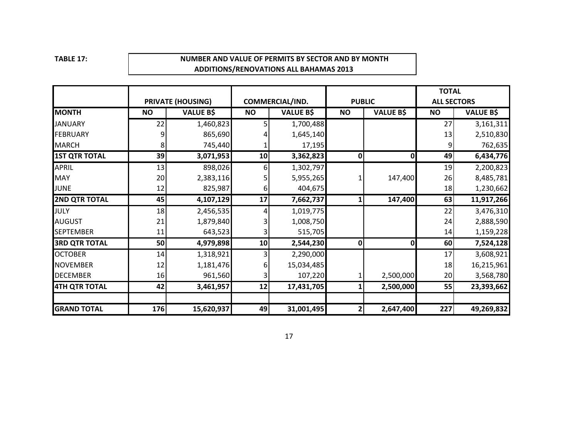**TABLE 17:**

#### **NUMBER AND VALUE OF PERMITS BY SECTOR AND BY MONTH ADDITIONS/RENOVATIONS ALL BAHAMAS 2013**

|                      |           |                          |           |                  |               |                  | <b>TOTAL</b>       |                  |
|----------------------|-----------|--------------------------|-----------|------------------|---------------|------------------|--------------------|------------------|
|                      |           | <b>PRIVATE (HOUSING)</b> |           | COMMERCIAL/IND.  | <b>PUBLIC</b> |                  | <b>ALL SECTORS</b> |                  |
| <b>MONTH</b>         | <b>NO</b> | <b>VALUE B\$</b>         | <b>NO</b> | <b>VALUE B\$</b> | <b>NO</b>     | <b>VALUE B\$</b> | <b>NO</b>          | <b>VALUE B\$</b> |
| <b>JANUARY</b>       | 22        | 1,460,823                |           | 1,700,488        |               |                  | 27                 | 3,161,311        |
| <b>FEBRUARY</b>      |           | 865,690                  |           | 1,645,140        |               |                  | 13                 | 2,510,830        |
| <b>MARCH</b>         |           | 745,440                  |           | 17,195           |               |                  |                    | 762,635          |
| <b>1ST QTR TOTAL</b> | 39        | 3,071,953                | 10        | 3,362,823        | 0             | O                | 49                 | 6,434,776        |
| <b>APRIL</b>         | 13        | 898,026                  | 6         | 1,302,797        |               |                  | 19                 | 2,200,823        |
| <b>MAY</b>           | 20        | 2,383,116                |           | 5,955,265        |               | 147,400          | 26                 | 8,485,781        |
| JUNE                 | 12        | 825,987                  | h         | 404,675          |               |                  | 18                 | 1,230,662        |
| <b>2ND QTR TOTAL</b> | 45        | 4,107,129                | 17        | 7,662,737        |               | 147,400          | 63                 | 11,917,266       |
| JULY                 | 18        | 2,456,535                |           | 1,019,775        |               |                  | 22                 | 3,476,310        |
| <b>AUGUST</b>        | 21        | 1,879,840                |           | 1,008,750        |               |                  | 24                 | 2,888,590        |
| <b>SEPTEMBER</b>     | 11        | 643,523                  |           | 515,705          |               |                  | 14                 | 1,159,228        |
| <b>3RD QTR TOTAL</b> | 50        | 4,979,898                | 10        | 2,544,230        | 0             | 0                | 60                 | 7,524,128        |
| <b>OCTOBER</b>       | 14        | 1,318,921                |           | 2,290,000        |               |                  | 17                 | 3,608,921        |
| <b>NOVEMBER</b>      | 12        | 1,181,476                |           | 15,034,485       |               |                  | 18                 | 16,215,961       |
| <b>DECEMBER</b>      | 16        | 961,560                  |           | 107,220          |               | 2,500,000        | 20                 | 3,568,780        |
| 4TH QTR TOTAL        | 42        | 3,461,957                | 12        | 17,431,705       |               | 2,500,000        | 55                 | 23,393,662       |
|                      |           |                          |           |                  |               |                  |                    |                  |
| <b>GRAND TOTAL</b>   | 176       | 15,620,937               | 49        | 31,001,495       |               | 2,647,400        | 227                | 49,269,832       |

17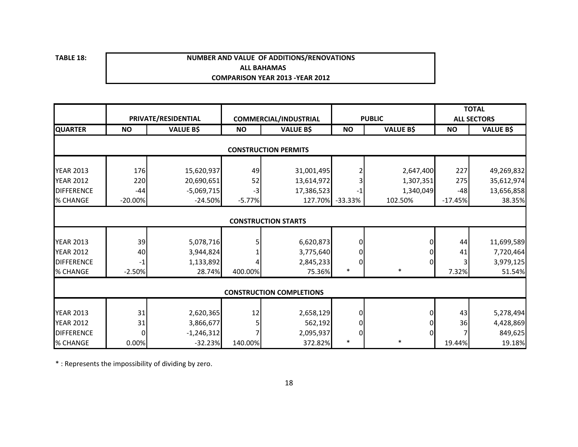**TABLE 18:**

#### **ALL BAHAMAS COMPARISON YEAR 2013 ‐YEAR 2012 NUMBER AND VALUE OF ADDITIONS/RENOVATIONS**

|                   |           |                     |           |                                 |           |                  | <b>TOTAL</b> |                    |
|-------------------|-----------|---------------------|-----------|---------------------------------|-----------|------------------|--------------|--------------------|
|                   |           | PRIVATE/RESIDENTIAL |           | <b>COMMERCIAL/INDUSTRIAL</b>    |           | <b>PUBLIC</b>    |              | <b>ALL SECTORS</b> |
| <b>QUARTER</b>    | <b>NO</b> | <b>VALUE B\$</b>    | <b>NO</b> | <b>VALUE B\$</b>                | <b>NO</b> | <b>VALUE B\$</b> | <b>NO</b>    | <b>VALUE B\$</b>   |
|                   |           |                     |           | <b>CONSTRUCTION PERMITS</b>     |           |                  |              |                    |
|                   |           |                     |           |                                 |           |                  |              |                    |
| <b>YEAR 2013</b>  | 176       | 15,620,937          | 49        | 31,001,495                      |           | 2,647,400        | 227          | 49,269,832         |
| <b>YEAR 2012</b>  | 220       | 20,690,651          | 52        | 13,614,972                      |           | 1,307,351        | 275          | 35,612,974         |
| <b>DIFFERENCE</b> | $-44$     | $-5,069,715$        | $-3$      | 17,386,523                      | -1        | 1,340,049        | $-48$        | 13,656,858         |
| % CHANGE          | $-20.00%$ | $-24.50%$           | $-5.77%$  | 127.70%                         | $-33.33%$ | 102.50%          | $-17.45%$    | 38.35%             |
|                   |           |                     |           |                                 |           |                  |              |                    |
|                   |           |                     |           | <b>CONSTRUCTION STARTS</b>      |           |                  |              |                    |
|                   |           |                     |           |                                 |           |                  |              |                    |
| <b>YEAR 2013</b>  | 39        | 5,078,716           |           | 6,620,873                       | 0         |                  | 44           | 11,699,589         |
| <b>YEAR 2012</b>  | 40        | 3,944,824           |           | 3,775,640                       |           |                  | 41           | 7,720,464          |
| <b>DIFFERENCE</b> | $-1$      | 1,133,892           |           | 2,845,233                       | 0         |                  |              | 3,979,125          |
| % CHANGE          | $-2.50%$  | 28.74%              | 400.00%   | 75.36%                          | $\ast$    | $\ast$           | 7.32%        | 51.54%             |
|                   |           |                     |           |                                 |           |                  |              |                    |
|                   |           |                     |           | <b>CONSTRUCTION COMPLETIONS</b> |           |                  |              |                    |
|                   |           |                     |           |                                 |           |                  |              |                    |
| <b>YEAR 2013</b>  | 31        | 2,620,365           | 12        | 2,658,129                       | 0         |                  | 43           | 5,278,494          |
| <b>YEAR 2012</b>  | 31        | 3,866,677           |           | 562,192                         |           |                  | 36           | 4,428,869          |
| <b>DIFFERENCE</b> | $\Omega$  | $-1,246,312$        |           | 2,095,937                       | 0         |                  |              | 849,625            |
| % CHANGE          | 0.00%     | $-32.23%$           | 140.00%   | 372.82%                         | $\ast$    | $\ast$           | 19.44%       | 19.18%             |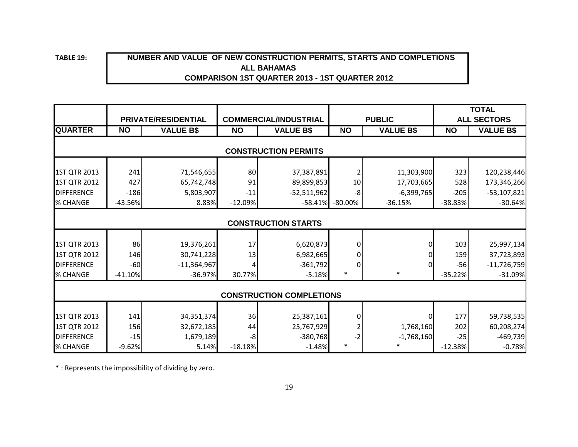**TABLE 19:**

# **ALL BAHAMAS COMPARISON 1ST QUARTER 2013 - 1ST QUARTER 2012 NUMBER AND VALUE OF NEW CONSTRUCTION PERMITS, STARTS AND COMPLETIONS**

|                   |           |                     |           |                                 |            |                  |           | <b>TOTAL</b>       |  |  |  |
|-------------------|-----------|---------------------|-----------|---------------------------------|------------|------------------|-----------|--------------------|--|--|--|
|                   |           | PRIVATE/RESIDENTIAL |           | <b>COMMERCIAL/INDUSTRIAL</b>    |            | <b>PUBLIC</b>    |           | <b>ALL SECTORS</b> |  |  |  |
| <b>QUARTER</b>    | <b>NO</b> | <b>VALUE B\$</b>    | <b>NO</b> | <b>VALUE B\$</b>                | <b>NO</b>  | <b>VALUE B\$</b> | <b>NO</b> | <b>VALUE B\$</b>   |  |  |  |
|                   |           |                     |           |                                 |            |                  |           |                    |  |  |  |
|                   |           |                     |           | <b>CONSTRUCTION PERMITS</b>     |            |                  |           |                    |  |  |  |
| 1ST QTR 2013      | 241       | 71,546,655          | 80        | 37,387,891                      |            | 11,303,900       | 323       | 120,238,446        |  |  |  |
| 1ST QTR 2012      | 427       | 65,742,748          | 91        | 89,899,853                      | 10         | 17,703,665       | 528       | 173,346,266        |  |  |  |
| <b>DIFFERENCE</b> | $-186$    | 5,803,907           | $-11$     | $-52,511,962$                   | -8         | $-6,399,765$     | $-205$    | $-53,107,821$      |  |  |  |
| % CHANGE          | $-43.56%$ | 8.83%               | $-12.09%$ | $-58.41%$                       | $-80.00\%$ | $-36.15%$        | $-38.83%$ | $-30.64%$          |  |  |  |
|                   |           |                     |           |                                 |            |                  |           |                    |  |  |  |
|                   |           |                     |           | <b>CONSTRUCTION STARTS</b>      |            |                  |           |                    |  |  |  |
|                   |           |                     |           |                                 |            |                  |           |                    |  |  |  |
| 1ST QTR 2013      | 86        | 19,376,261          | 17        | 6,620,873                       | 0          |                  | 103       | 25,997,134         |  |  |  |
| 1ST QTR 2012      | 146       | 30,741,228          | 13        | 6,982,665                       | 0          |                  | 159       | 37,723,893         |  |  |  |
| <b>DIFFERENCE</b> | $-60$     | $-11,364,967$       |           | $-361,792$                      | $\Omega$   |                  | $-56$     | $-11,726,759$      |  |  |  |
| % CHANGE          | $-41.10%$ | $-36.97%$           | 30.77%    | $-5.18%$                        | $\ast$     | $\ast$           | $-35.22%$ | $-31.09%$          |  |  |  |
|                   |           |                     |           |                                 |            |                  |           |                    |  |  |  |
|                   |           |                     |           | <b>CONSTRUCTION COMPLETIONS</b> |            |                  |           |                    |  |  |  |
|                   |           |                     |           |                                 |            |                  |           |                    |  |  |  |
| 1ST QTR 2013      | 141       | 34,351,374          | 36        | 25,387,161                      | 0          |                  | 177       | 59,738,535         |  |  |  |
| 1ST QTR 2012      | 156       | 32,672,185          | 44        | 25,767,929                      |            | 1,768,160        | 202       | 60,208,274         |  |  |  |
| <b>DIFFERENCE</b> | $-15$     | 1,679,189           | -8        | $-380,768$                      |            | $-1,768,160$     | $-25$     | $-469,739$         |  |  |  |
| % CHANGE          | $-9.62%$  | 5.14%               | $-18.18%$ | $-1.48%$                        | $\ast$     | $\ast$           | $-12.38%$ | $-0.78%$           |  |  |  |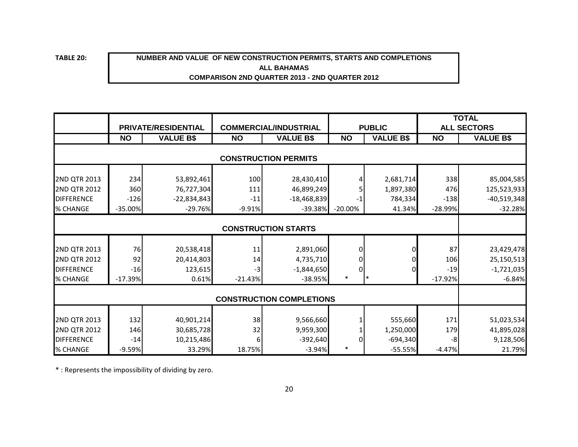**TABLE 20:**

#### **NUMBER AND VALUE OF NEW CONSTRUCTION PERMITS, STARTS AND COMPLETIONS COMPARISON 2ND QUARTER 2013 - 2ND QUARTER 2012 ALL BAHAMAS**

|                                                                 |                            | <b>PRIVATE/RESIDENTIAL</b>                |                     | <b>COMMERCIAL/INDUSTRIAL</b>              |                | <b>PUBLIC</b>                      |                      | <b>TOTAL</b><br><b>ALL SECTORS</b>         |  |
|-----------------------------------------------------------------|----------------------------|-------------------------------------------|---------------------|-------------------------------------------|----------------|------------------------------------|----------------------|--------------------------------------------|--|
|                                                                 | <b>NO</b>                  | <b>VALUE B\$</b>                          | <b>NO</b>           | <b>VALUE B\$</b>                          | <b>NO</b>      | <b>VALUE B\$</b>                   | <b>NO</b>            | <b>VALUE B\$</b>                           |  |
|                                                                 |                            |                                           |                     | <b>CONSTRUCTION PERMITS</b>               |                |                                    |                      |                                            |  |
| <b>2ND QTR 2013</b><br><b>2ND QTR 2012</b><br><b>DIFFERENCE</b> | 234<br>360<br>$-126$       | 53,892,461<br>76,727,304<br>$-22,834,843$ | 100<br>111<br>$-11$ | 28,430,410<br>46,899,249<br>$-18,468,839$ | -1             | 2,681,714<br>1,897,380<br>784,334  | 338<br>476<br>$-138$ | 85,004,585<br>125,523,933<br>$-40,519,348$ |  |
| % CHANGE                                                        | $-35.00%$                  | $-29.76%$                                 | $-9.91%$            | $-39.38%$                                 | $-20.00%$      | 41.34%                             | $-28.99%$            | $-32.28%$                                  |  |
|                                                                 | <b>CONSTRUCTION STARTS</b> |                                           |                     |                                           |                |                                    |                      |                                            |  |
| <b>2ND QTR 2013</b><br><b>2ND QTR 2012</b><br><b>DIFFERENCE</b> | 76<br>92<br>$-16$          | 20,538,418<br>20,414,803<br>123,615       | 11<br>14<br>$-3$    | 2,891,060<br>4,735,710<br>$-1,844,650$    | 01<br>01<br>ΩI |                                    | 87<br>106<br>$-19$   | 23,429,478<br>25,150,513<br>$-1,721,035$   |  |
| % CHANGE                                                        | $-17.39%$                  | 0.61%                                     | $-21.43%$           | $-38.95%$                                 | $\ast$         |                                    | $-17.92%$            | $-6.84%$                                   |  |
|                                                                 |                            |                                           |                     | <b>CONSTRUCTION COMPLETIONS</b>           |                |                                    |                      |                                            |  |
| <b>2ND QTR 2013</b><br>2ND QTR 2012<br><b>DIFFERENCE</b>        | 132<br>146<br>$-14$        | 40,901,214<br>30,685,728<br>10,215,486    | 38<br>32<br>6       | 9,566,660<br>9,959,300<br>$-392,640$      |                | 555,660<br>1,250,000<br>$-694,340$ | 171<br>179<br>-8     | 51,023,534<br>41,895,028<br>9,128,506      |  |
| % CHANGE                                                        | $-9.59%$                   | 33.29%                                    | 18.75%              | $-3.94%$                                  | $\ast$         | $-55.55%$                          | $-4.47%$             | 21.79%                                     |  |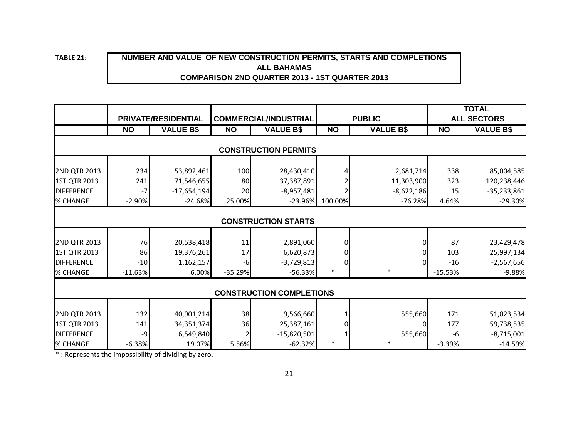**TABLE 21:**

# **NUMBER AND VALUE OF NEW CONSTRUCTION PERMITS, STARTS AND COMPLETIONS ALL BAHAMAS COMPARISON 2ND QUARTER 2013 - 1ST QUARTER 2013**

|                   |           |                            |           |                                 |                |                  |                 | <b>TOTAL</b>       |
|-------------------|-----------|----------------------------|-----------|---------------------------------|----------------|------------------|-----------------|--------------------|
|                   |           | <b>PRIVATE/RESIDENTIAL</b> |           | <b>COMMERCIAL/INDUSTRIAL</b>    |                | <b>PUBLIC</b>    |                 | <b>ALL SECTORS</b> |
|                   | <b>NO</b> | <b>VALUE B\$</b>           | <b>NO</b> | <b>VALUE B\$</b>                | <b>NO</b>      | <b>VALUE B\$</b> | $\overline{NO}$ | <b>VALUE B\$</b>   |
|                   |           |                            |           | <b>CONSTRUCTION PERMITS</b>     |                |                  |                 |                    |
|                   |           |                            |           |                                 |                |                  |                 |                    |
| 2ND QTR 2013      | 234       | 53,892,461                 | 100       | 28,430,410                      |                | 2,681,714        | 338             | 85,004,585         |
| 1ST QTR 2013      | 241       | 71,546,655                 | 80        | 37,387,891                      |                | 11,303,900       | 323             | 120,238,446        |
| <b>DIFFERENCE</b> | $-7$      | $-17,654,194$              | 20        | $-8,957,481$                    |                | $-8,622,186$     | 15              | $-35,233,861$      |
| % CHANGE          | $-2.90%$  | $-24.68%$                  | 25.00%    | $-23.96%$                       | 100.00%        | $-76.28%$        | 4.64%           | $-29.30\%$         |
|                   |           |                            |           |                                 |                |                  |                 |                    |
|                   |           |                            |           | <b>CONSTRUCTION STARTS</b>      |                |                  |                 |                    |
| 2ND QTR 2013      | 76        | 20,538,418                 | 11        | 2,891,060                       | $\Omega$       |                  | 87              | 23,429,478         |
| 1ST QTR 2013      | 86        | 19,376,261                 | 17        | 6,620,873                       | $\overline{0}$ |                  | 103             | 25,997,134         |
| <b>DIFFERENCE</b> | $-10$     | 1,162,157                  | $-6$      | $-3,729,813$                    | $\overline{0}$ |                  | $-16$           | $-2,567,656$       |
| % CHANGE          | $-11.63%$ | 6.00%                      | $-35.29%$ | $-56.33%$                       | $\ast$         | $\ast$           | $-15.53%$       | $-9.88%$           |
|                   |           |                            |           |                                 |                |                  |                 |                    |
|                   |           |                            |           | <b>CONSTRUCTION COMPLETIONS</b> |                |                  |                 |                    |
|                   |           |                            |           |                                 |                |                  |                 |                    |
| 2ND QTR 2013      | 132       | 40,901,214                 | 38        | 9,566,660                       |                | 555,660          | 171             | 51,023,534         |
| 1ST QTR 2013      | 141       | 34, 351, 374               | 36        | 25,387,161                      | $\Omega$       |                  | 177             | 59,738,535         |
| <b>DIFFERENCE</b> | -9        | 6,549,840                  |           | $-15,820,501$                   |                | 555,660          | -6              | $-8,715,001$       |
| % CHANGE          | $-6.38%$  | 19.07%                     | 5.56%     | $-62.32%$                       | $\ast$         | $\ast$           | $-3.39%$        | $-14.59%$          |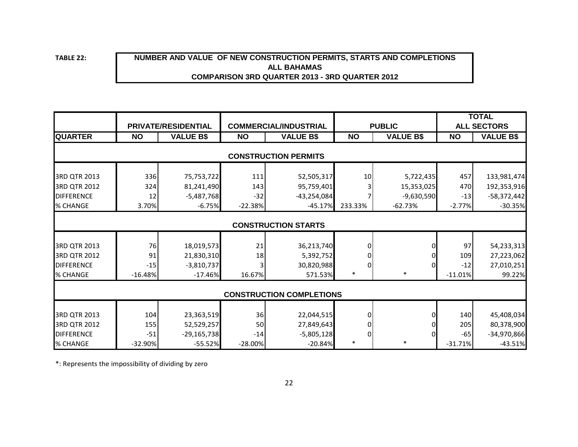**TABLE 22:**

### **NUMBER AND VALUE OF NEW CONSTRUCTION PERMITS, STARTS AND COMPLETIONS COMPARISON 3RD QUARTER 2013 - 3RD QUARTER 2012 ALL BAHAMAS**

|                                 |           |                     |           |                              |               |                  | <b>TOTAL</b>       |                  |  |  |  |
|---------------------------------|-----------|---------------------|-----------|------------------------------|---------------|------------------|--------------------|------------------|--|--|--|
|                                 |           | PRIVATE/RESIDENTIAL |           | <b>COMMERCIAL/INDUSTRIAL</b> | <b>PUBLIC</b> |                  | <b>ALL SECTORS</b> |                  |  |  |  |
| <b>QUARTER</b>                  | <b>NO</b> | <b>VALUE B\$</b>    | <b>NO</b> | <b>VALUE B\$</b>             | <b>NO</b>     | <b>VALUE B\$</b> | <b>NO</b>          | <b>VALUE B\$</b> |  |  |  |
| <b>CONSTRUCTION PERMITS</b>     |           |                     |           |                              |               |                  |                    |                  |  |  |  |
|                                 |           |                     |           |                              |               |                  |                    |                  |  |  |  |
| 3RD QTR 2013                    | 336       | 75,753,722          | 111       | 52,505,317                   | 10            | 5,722,435        | 457                | 133,981,474      |  |  |  |
| 3RD QTR 2012                    | 324       | 81,241,490          | 143       | 95,759,401                   |               | 15,353,025       | 470                | 192,353,916      |  |  |  |
| <b>DIFFERENCE</b>               | 12        | $-5,487,768$        | $-32$     | $-43,254,084$                |               | $-9,630,590$     | $-13$              | $-58,372,442$    |  |  |  |
| % CHANGE                        | 3.70%     | $-6.75%$            | $-22.38%$ | $-45.17%$                    | 233.33%       | $-62.73%$        | $-2.77%$           | $-30.35%$        |  |  |  |
|                                 |           |                     |           |                              |               |                  |                    |                  |  |  |  |
|                                 |           |                     |           | <b>CONSTRUCTION STARTS</b>   |               |                  |                    |                  |  |  |  |
|                                 |           |                     |           |                              |               |                  |                    |                  |  |  |  |
| 3RD QTR 2013                    | 76        | 18,019,573          | 21        | 36,213,740                   |               |                  | 97                 | 54,233,313       |  |  |  |
| 3RD QTR 2012                    | 91        | 21,830,310          | 18        | 5,392,752                    |               |                  | 109                | 27,223,062       |  |  |  |
| <b>DIFFERENCE</b>               | $-15$     | $-3,810,737$        |           | 30,820,988                   |               | 0                | $-12$              | 27,010,251       |  |  |  |
| % CHANGE                        | $-16.48%$ | $-17.46%$           | 16.67%    | 571.53%                      | $\ast$        | ∗                | $-11.01%$          | 99.22%           |  |  |  |
|                                 |           |                     |           |                              |               |                  |                    |                  |  |  |  |
| <b>CONSTRUCTION COMPLETIONS</b> |           |                     |           |                              |               |                  |                    |                  |  |  |  |
|                                 |           |                     |           |                              |               |                  |                    |                  |  |  |  |
| 3RD QTR 2013                    | 104       | 23,363,519          | 36        | 22,044,515                   |               |                  | 140                | 45,408,034       |  |  |  |
| 3RD QTR 2012                    | 155       | 52,529,257          | 50        | 27,849,643                   |               |                  | 205                | 80,378,900       |  |  |  |
| <b>DIFFERENCE</b>               | $-51$     | $-29,165,738$       | $-14$     | $-5,805,128$                 |               |                  | $-65$              | $-34,970,866$    |  |  |  |
| % CHANGE                        | $-32.90%$ | $-55.52%$           | $-28.00%$ | $-20.84%$                    | $\ast$        | $\ast$           | $-31.71%$          | $-43.51%$        |  |  |  |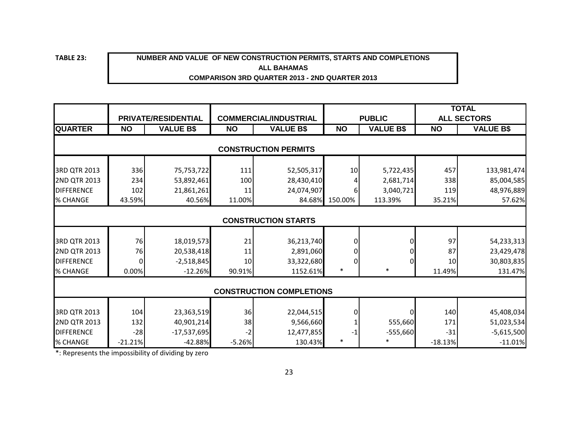**TABLE 23:**

#### **NUMBER AND VALUE OF NEW CONSTRUCTION PERMITS, STARTS AND COMPLETIONS ALL BAHAMAS COMPARISON 3RD QUARTER 2013 - 2ND QUARTER 2013**

|                    |                                 |                     |           |                              |               |                  |                 | <b>TOTAL</b>       |  |
|--------------------|---------------------------------|---------------------|-----------|------------------------------|---------------|------------------|-----------------|--------------------|--|
|                    |                                 | PRIVATE/RESIDENTIAL |           | <b>COMMERCIAL/INDUSTRIAL</b> | <b>PUBLIC</b> |                  |                 | <b>ALL SECTORS</b> |  |
| <b>QUARTER</b>     | <b>NO</b>                       | <b>VALUE B\$</b>    | <b>NO</b> | <b>VALUE B\$</b>             | <b>NO</b>     | <b>VALUE B\$</b> | <b>NO</b>       | <b>VALUE B\$</b>   |  |
|                    |                                 |                     |           |                              |               |                  |                 |                    |  |
|                    |                                 |                     |           | <b>CONSTRUCTION PERMITS</b>  |               |                  |                 |                    |  |
| 3RD QTR 2013       | 336                             | 75,753,722          | 111       | 52,505,317                   | 10            | 5,722,435        | 457             | 133,981,474        |  |
| 2ND QTR 2013       | 234                             | 53,892,461          | 100       | 28,430,410                   |               | 2,681,714        | 338             | 85,004,585         |  |
| <b>IDIFFERENCE</b> | 102                             | 21,861,261          | 11        | 24,074,907                   |               | 3,040,721        | 119             | 48,976,889         |  |
| <b>% CHANGE</b>    | 43.59%                          | 40.56%              | 11.00%    | 84.68%                       | 150.00%       | 113.39%          | 35.21%          | 57.62%             |  |
|                    |                                 |                     |           |                              |               |                  |                 |                    |  |
|                    |                                 |                     |           | <b>CONSTRUCTION STARTS</b>   |               |                  |                 |                    |  |
|                    |                                 |                     |           |                              |               |                  |                 |                    |  |
| 3RD QTR 2013       | 76                              | 18,019,573          | 21        | 36,213,740                   |               | 0                | 97              | 54,233,313         |  |
| 2ND QTR 2013       | 76                              | 20,538,418          | 11        | 2,891,060                    |               |                  | 87              | 23,429,478         |  |
| <b>DIFFERENCE</b>  |                                 | $-2,518,845$        | 10        | 33,322,680                   |               | $\Omega$         | 10 <sup>1</sup> | 30,803,835         |  |
| % CHANGE           | 0.00%                           | $-12.26%$           | 90.91%    | 1152.61%                     | $\ast$        | $\ast$           | 11.49%          | 131.47%            |  |
|                    |                                 |                     |           |                              |               |                  |                 |                    |  |
|                    | <b>CONSTRUCTION COMPLETIONS</b> |                     |           |                              |               |                  |                 |                    |  |
| 3RD QTR 2013       | 104                             | 23,363,519          | 36        | 22,044,515                   |               | 0                | 140             | 45,408,034         |  |
| 2ND QTR 2013       | 132                             | 40,901,214          | 38        | 9,566,660                    |               | 555,660          | 171             | 51,023,534         |  |
| <b>DIFFERENCE</b>  | $-28$                           | $-17,537,695$       | $-2$      | 12,477,855                   |               | $-555,660$       | $-31$           | $-5,615,500$       |  |
| % CHANGE           | $-21.21%$                       | $-42.88%$           | $-5.26%$  | 130.43%                      | $\ast$        |                  | $-18.13%$       | $-11.01%$          |  |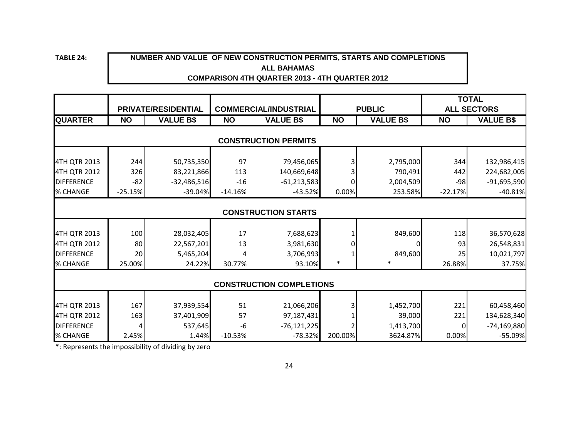**TABLE 24:**

#### **NUMBER AND VALUE OF NEW CONSTRUCTION PERMITS, STARTS AND COMPLETIONS ALL BAHAMAS COMPARISON 4TH QUARTER 2013 - 4TH QUARTER 2012**

|                                      | PRIVATE/RESIDENTIAL        |                            | <b>COMMERCIAL/INDUSTRIAL</b> |                            | <b>PUBLIC</b> |                      | <b>TOTAL</b><br><b>ALL SECTORS</b> |                            |  |  |
|--------------------------------------|----------------------------|----------------------------|------------------------------|----------------------------|---------------|----------------------|------------------------------------|----------------------------|--|--|
| <b>QUARTER</b>                       | <b>NO</b>                  | <b>VALUE B\$</b>           | <b>NO</b>                    | <b>VALUE B\$</b>           | <b>NO</b>     | <b>VALUE B\$</b>     | <b>NO</b>                          | <b>VALUE B\$</b>           |  |  |
| <b>CONSTRUCTION PERMITS</b>          |                            |                            |                              |                            |               |                      |                                    |                            |  |  |
| 4TH QTR 2013                         | 244                        | 50,735,350                 | 97                           | 79,456,065                 |               | 2,795,000            | 344                                | 132,986,415                |  |  |
| 4TH QTR 2012                         | 326                        | 83,221,866                 | 113                          | 140,669,648                |               | 790,491              | 442                                | 224,682,005                |  |  |
| <b>DIFFERENCE</b><br><b>% CHANGE</b> | $-82$<br>$-25.15%$         | $-32,486,516$<br>$-39.04%$ | $-16$<br>$-14.16%$           | $-61,213,583$<br>$-43.52%$ | 0.00%         | 2,004,509<br>253.58% | -98<br>$-22.17%$                   | $-91,695,590$<br>$-40.81%$ |  |  |
|                                      | <b>CONSTRUCTION STARTS</b> |                            |                              |                            |               |                      |                                    |                            |  |  |
| 4TH QTR 2013                         | 100                        | 28,032,405                 | 17                           | 7,688,623                  |               | 849,600              | 118                                | 36,570,628                 |  |  |
| 4TH QTR 2012                         | 80                         | 22,567,201                 | 13                           | 3,981,630                  |               |                      | 93                                 | 26,548,831                 |  |  |
| <b>DIFFERENCE</b>                    | 20                         | 5,465,204                  |                              | 3,706,993                  |               | 849,600              | 25                                 | 10,021,797                 |  |  |
| % CHANGE                             | 25.00%                     | 24.22%                     | 30.77%                       | 93.10%                     | *             | *                    | 26.88%                             | 37.75%                     |  |  |
| <b>CONSTRUCTION COMPLETIONS</b>      |                            |                            |                              |                            |               |                      |                                    |                            |  |  |
| 4TH QTR 2013                         | 167                        | 37,939,554                 | 51                           | 21,066,206                 |               | 1,452,700            | 221                                | 60,458,460                 |  |  |
| 4TH QTR 2012                         | 163                        | 37,401,909                 | 57                           | 97,187,431                 |               | 39,000               | 221                                | 134,628,340                |  |  |
| <b>DIFFERENCE</b>                    |                            | 537,645                    | $-6$                         | $-76, 121, 225$            |               | 1,413,700            | 0                                  | $-74,169,880$              |  |  |
| % CHANGE                             | 2.45%                      | 1.44%                      | $-10.53%$                    | $-78.32%$                  | 200.00%       | 3624.87%             | 0.00%                              | $-55.09%$                  |  |  |